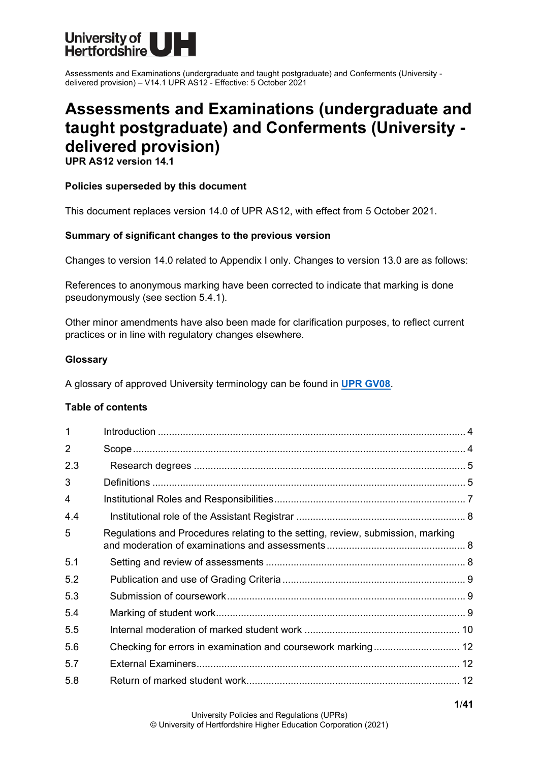

# **Assessments and Examinations (undergraduate and taught postgraduate) and Conferments (University delivered provision)**

**UPR AS12 version 14.1**

#### **Policies superseded by this document**

This document replaces version 14.0 of UPR AS12, with effect from 5 October 2021.

#### **Summary of significant changes to the previous version**

Changes to version 14.0 related to Appendix I only. Changes to version 13.0 are as follows:

References to anonymous marking have been corrected to indicate that marking is done pseudonymously (see section 5.4.1).

Other minor amendments have also been made for clarification purposes, to reflect current practices or in line with regulatory changes elsewhere.

#### **Glossary**

A glossary of approved University terminology can be found in **[UPR GV08](https://www.herts.ac.uk/__data/assets/pdf_file/0020/233057/GV08-Glossary-of-Terminology.pdf)**.

#### **Table of contents**

| $\mathbf{1}$   |                                                                                 |  |
|----------------|---------------------------------------------------------------------------------|--|
| $\overline{2}$ |                                                                                 |  |
| 2.3            |                                                                                 |  |
| 3              |                                                                                 |  |
| $\overline{4}$ |                                                                                 |  |
| 4.4            |                                                                                 |  |
| 5              | Regulations and Procedures relating to the setting, review, submission, marking |  |
| 5.1            |                                                                                 |  |
| 5.2            |                                                                                 |  |
| 5.3            |                                                                                 |  |
| 5.4            |                                                                                 |  |
| 5.5            |                                                                                 |  |
| 5.6            | Checking for errors in examination and coursework marking 12                    |  |
| 5.7            |                                                                                 |  |
| 5.8            |                                                                                 |  |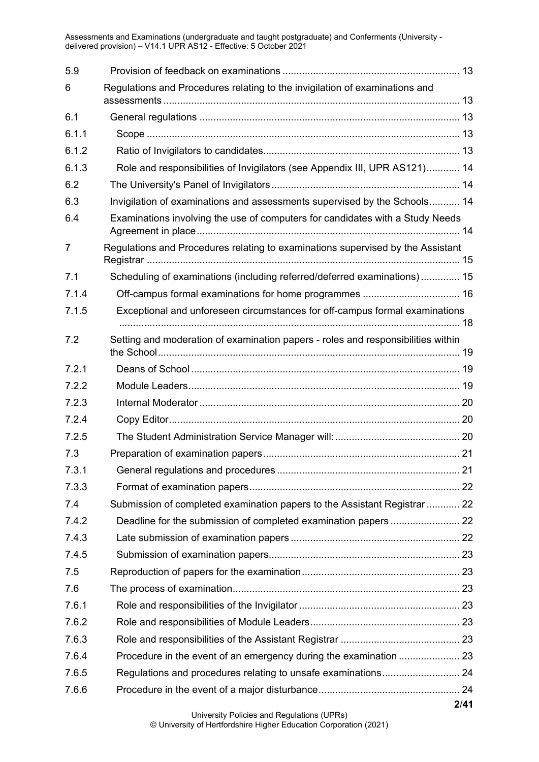| 5.9            |                                                                                  |      |
|----------------|----------------------------------------------------------------------------------|------|
| 6              | Regulations and Procedures relating to the invigilation of examinations and      |      |
| 6.1            |                                                                                  |      |
| 6.1.1          |                                                                                  |      |
| 6.1.2          |                                                                                  |      |
| 6.1.3          | Role and responsibilities of Invigilators (see Appendix III, UPR AS121) 14       |      |
| 6.2            |                                                                                  |      |
| 6.3            | Invigilation of examinations and assessments supervised by the Schools 14        |      |
| 6.4            | Examinations involving the use of computers for candidates with a Study Needs    |      |
| $\overline{7}$ | Regulations and Procedures relating to examinations supervised by the Assistant  |      |
| 7.1            | Scheduling of examinations (including referred/deferred examinations) 15         |      |
| 7.1.4          |                                                                                  |      |
| 7.1.5          | Exceptional and unforeseen circumstances for off-campus formal examinations      |      |
| 7.2            | Setting and moderation of examination papers - roles and responsibilities within |      |
| 7.2.1          |                                                                                  |      |
| 7.2.2          |                                                                                  |      |
| 7.2.3          |                                                                                  |      |
| 7.2.4          |                                                                                  |      |
| 7.2.5          |                                                                                  |      |
| 7.3            |                                                                                  |      |
| 7.3.1          |                                                                                  |      |
| 7.3.3          |                                                                                  |      |
| 7.4            | Submission of completed examination papers to the Assistant Registrar  22        |      |
| 7.4.2          |                                                                                  |      |
| 7.4.3          |                                                                                  |      |
| 7.4.5          |                                                                                  |      |
| 7.5            |                                                                                  |      |
| 7.6            |                                                                                  |      |
| 7.6.1          |                                                                                  |      |
| 7.6.2          |                                                                                  |      |
| 7.6.3          |                                                                                  |      |
| 7.6.4          |                                                                                  |      |
| 7.6.5          |                                                                                  |      |
| 7.6.6          |                                                                                  |      |
|                |                                                                                  | 2/41 |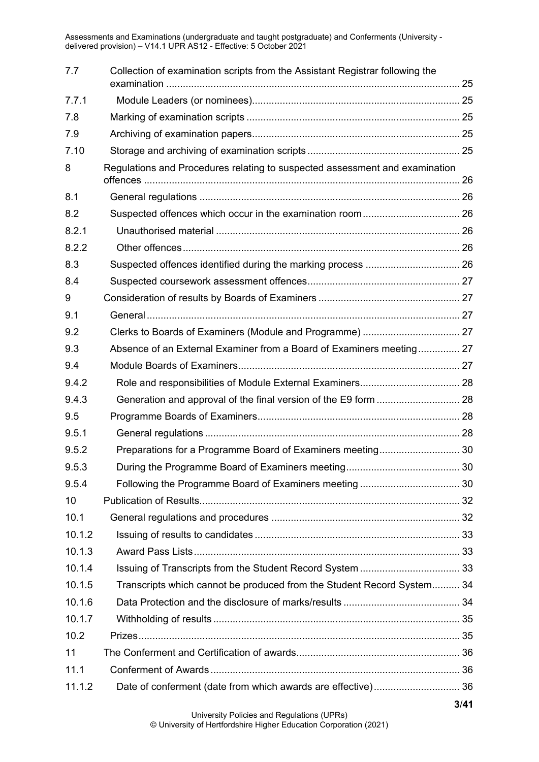| 7.7    | Collection of examination scripts from the Assistant Registrar following the |        |
|--------|------------------------------------------------------------------------------|--------|
| 7.7.1  |                                                                              |        |
| 7.8    |                                                                              |        |
| 7.9    |                                                                              |        |
| 7.10   |                                                                              |        |
| 8      | Regulations and Procedures relating to suspected assessment and examination  |        |
| 8.1    |                                                                              |        |
| 8.2    |                                                                              |        |
| 8.2.1  |                                                                              |        |
| 8.2.2  |                                                                              |        |
| 8.3    |                                                                              |        |
| 8.4    |                                                                              |        |
| 9      |                                                                              |        |
| 9.1    |                                                                              |        |
| 9.2    |                                                                              |        |
| 9.3    | Absence of an External Examiner from a Board of Examiners meeting 27         |        |
| 9.4    |                                                                              |        |
| 9.4.2  |                                                                              |        |
| 9.4.3  |                                                                              |        |
| 9.5    |                                                                              |        |
| 9.5.1  |                                                                              |        |
| 9.5.2  |                                                                              |        |
| 9.5.3  |                                                                              | 30     |
| 9.5.4  |                                                                              |        |
| 10     |                                                                              |        |
| 10.1   |                                                                              |        |
| 10.1.2 |                                                                              |        |
| 10.1.3 |                                                                              |        |
| 10.1.4 |                                                                              |        |
| 10.1.5 | Transcripts which cannot be produced from the Student Record System 34       |        |
| 10.1.6 |                                                                              |        |
| 10.1.7 |                                                                              |        |
| 10.2   |                                                                              |        |
| 11     |                                                                              |        |
| 11.1   |                                                                              |        |
| 11.1.2 | Date of conferment (date from which awards are effective) 36                 |        |
|        |                                                                              | $9/AA$ |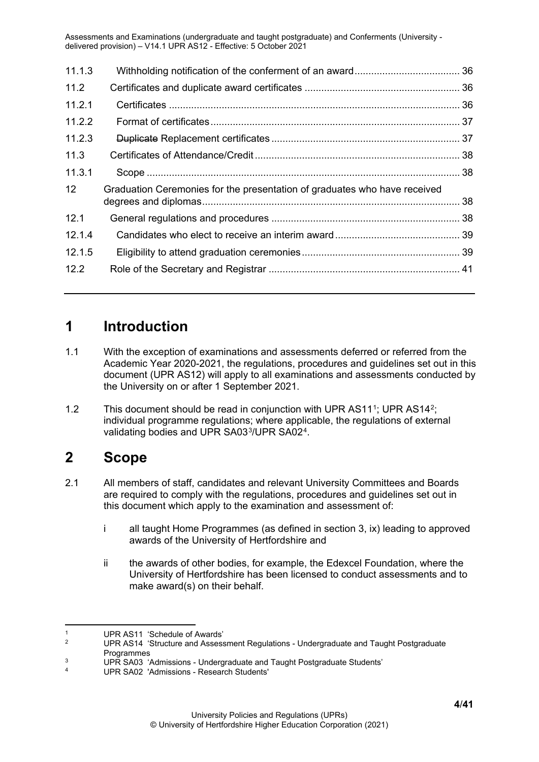| 11.1.3 |                                                                           |  |
|--------|---------------------------------------------------------------------------|--|
| 11.2   |                                                                           |  |
| 11.2.1 |                                                                           |  |
| 11.2.2 |                                                                           |  |
| 11.2.3 |                                                                           |  |
| 11.3   |                                                                           |  |
| 11.3.1 |                                                                           |  |
| 12     | Graduation Ceremonies for the presentation of graduates who have received |  |
| 12.1   |                                                                           |  |
| 12.1.4 |                                                                           |  |
| 12.1.5 |                                                                           |  |
| 12.2   |                                                                           |  |

### <span id="page-3-0"></span>**1 Introduction**

- 1.1 With the exception of examinations and assessments deferred or referred from the Academic Year 2020-2021, the regulations, procedures and guidelines set out in this document (UPR AS12) will apply to all examinations and assessments conducted by the University on or after 1 September 2021.
- [1](#page-3-2).2 This document should be read in conjunction with UPR AS11<sup>1</sup>; UPR AS14<sup>2</sup>; individual programme regulations; where applicable, the regulations of external validating bodies and UPR SA03[3/](#page-3-4)UPR SA02[4](#page-3-5).

## <span id="page-3-1"></span>**2 Scope**

- 2.1 All members of staff, candidates and relevant University Committees and Boards are required to comply with the regulations, procedures and guidelines set out in this document which apply to the examination and assessment of:
	- i all taught Home Programmes (as defined in section 3, ix) leading to approved awards of the University of Hertfordshire and
	- ii the awards of other bodies, for example, the Edexcel Foundation, where the University of Hertfordshire has been licensed to conduct assessments and to make award(s) on their behalf.

<span id="page-3-2"></span><sup>&</sup>lt;sup>1</sup> UPR AS11 'Schedule of Awards'

<span id="page-3-3"></span><sup>2</sup> UPR AS14 'Structure and Assessment Regulations - Undergraduate and Taught Postgraduate

<span id="page-3-4"></span>Programmes<br>
UPR SA03 'Admissions - Undergraduate and Taught Postgraduate Students'<br>
UPR SA03 'Admissions - Pessersh Students'

<span id="page-3-5"></span><sup>4</sup> UPR SA02 'Admissions - Research Students'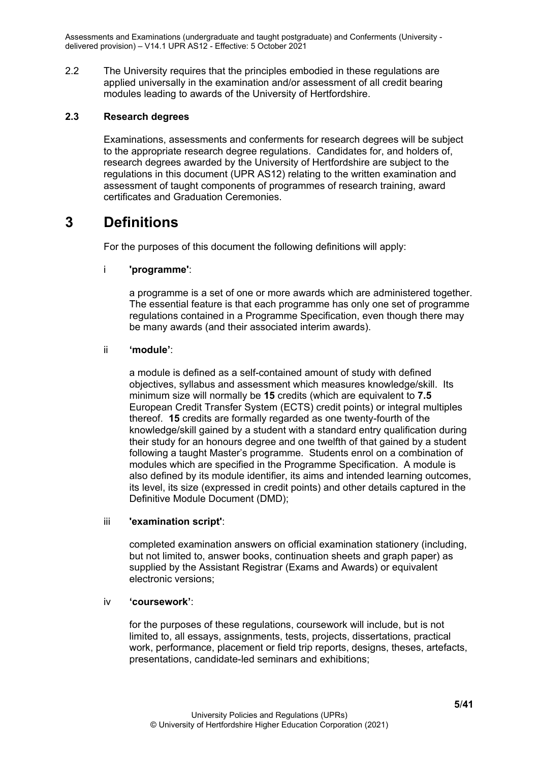2.2 The University requires that the principles embodied in these regulations are applied universally in the examination and/or assessment of all credit bearing modules leading to awards of the University of Hertfordshire.

#### <span id="page-4-0"></span>**2.3 Research degrees**

Examinations, assessments and conferments for research degrees will be subject to the appropriate research degree regulations. Candidates for, and holders of, research degrees awarded by the University of Hertfordshire are subject to the regulations in this document (UPR AS12) relating to the written examination and assessment of taught components of programmes of research training, award certificates and Graduation Ceremonies.

### <span id="page-4-1"></span>**3 Definitions**

For the purposes of this document the following definitions will apply:

#### i **'programme'**:

a programme is a set of one or more awards which are administered together. The essential feature is that each programme has only one set of programme regulations contained in a Programme Specification, even though there may be many awards (and their associated interim awards).

#### ii **'module'**:

a module is defined as a self-contained amount of study with defined objectives, syllabus and assessment which measures knowledge/skill. Its minimum size will normally be **15** credits (which are equivalent to **7.5** European Credit Transfer System (ECTS) credit points) or integral multiples thereof. **15** credits are formally regarded as one twenty-fourth of the knowledge/skill gained by a student with a standard entry qualification during their study for an honours degree and one twelfth of that gained by a student following a taught Master's programme. Students enrol on a combination of modules which are specified in the Programme Specification. A module is also defined by its module identifier, its aims and intended learning outcomes, its level, its size (expressed in credit points) and other details captured in the Definitive Module Document (DMD);

#### iii **'examination script'**:

completed examination answers on official examination stationery (including, but not limited to, answer books, continuation sheets and graph paper) as supplied by the Assistant Registrar (Exams and Awards) or equivalent electronic versions;

#### iv **'coursework'**:

for the purposes of these regulations, coursework will include, but is not limited to, all essays, assignments, tests, projects, dissertations, practical work, performance, placement or field trip reports, designs, theses, artefacts, presentations, candidate-led seminars and exhibitions;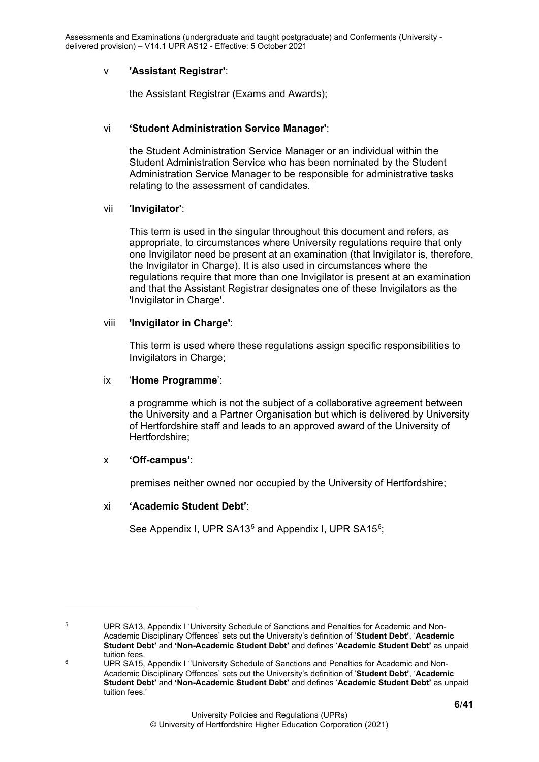#### v **'Assistant Registrar'**:

the Assistant Registrar (Exams and Awards);

#### vi **'Student Administration Service Manager'**:

the Student Administration Service Manager or an individual within the Student Administration Service who has been nominated by the Student Administration Service Manager to be responsible for administrative tasks relating to the assessment of candidates.

#### vii **'Invigilator'**:

This term is used in the singular throughout this document and refers, as appropriate, to circumstances where University regulations require that only one Invigilator need be present at an examination (that Invigilator is, therefore, the Invigilator in Charge). It is also used in circumstances where the regulations require that more than one Invigilator is present at an examination and that the Assistant Registrar designates one of these Invigilators as the 'Invigilator in Charge'.

#### viii **'Invigilator in Charge'**:

This term is used where these regulations assign specific responsibilities to Invigilators in Charge;

#### ix '**Home Programme**':

a programme which is not the subject of a collaborative agreement between the University and a Partner Organisation but which is delivered by University of Hertfordshire staff and leads to an approved award of the University of Hertfordshire;

#### x **'Off-campus'**:

premises neither owned nor occupied by the University of Hertfordshire;

#### xi **'Academic Student Debt'**:

See Appendix I, UPR SA13<sup>[5](#page-5-0)</sup> and Appendix I, UPR SA15<sup>[6](#page-5-1)</sup>;

<span id="page-5-0"></span><sup>5</sup> UPR SA13, Appendix I 'University Schedule of Sanctions and Penalties for Academic and Non-Academic Disciplinary Offences' sets out the University's definition of '**Student Debt'**, '**Academic Student Debt'** and **'Non-Academic Student Debt'** and defines '**Academic Student Debt'** as unpaid tuition fees.

<span id="page-5-1"></span><sup>6</sup> UPR SA15, Appendix I ''University Schedule of Sanctions and Penalties for Academic and Non-Academic Disciplinary Offences' sets out the University's definition of '**Student Debt'**, '**Academic Student Debt'** and **'Non-Academic Student Debt'** and defines '**Academic Student Debt'** as unpaid tuition fees.'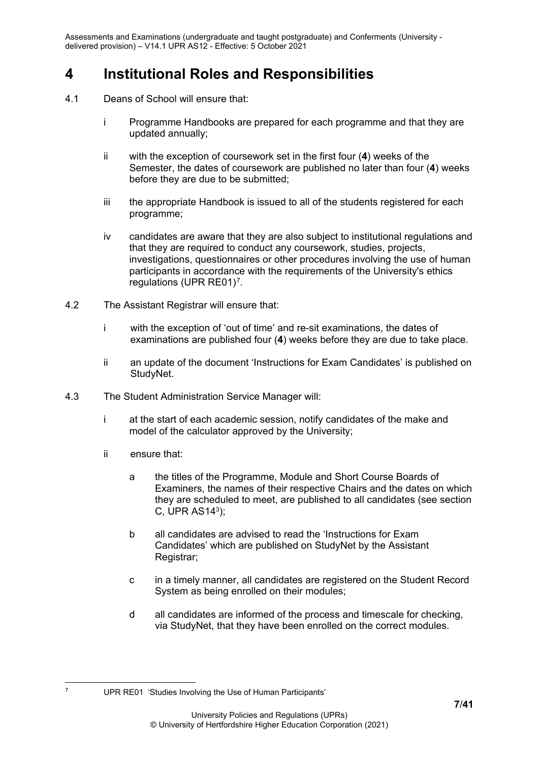# <span id="page-6-0"></span>**4 Institutional Roles and Responsibilities**

- 4.1 Deans of School will ensure that:
	- i Programme Handbooks are prepared for each programme and that they are updated annually;
	- ii with the exception of coursework set in the first four (**4**) weeks of the Semester, the dates of coursework are published no later than four (**4**) weeks before they are due to be submitted;
	- iii the appropriate Handbook is issued to all of the students registered for each programme;
	- iv candidates are aware that they are also subject to institutional regulations and that they are required to conduct any coursework, studies, projects, investigations, questionnaires or other procedures involving the use of human participants in accordance with the requirements of the University's ethics regulations (UPR RE01)<sup>[7](#page-6-1)</sup>.
- 4.2 The Assistant Registrar will ensure that:
	- i with the exception of 'out of time' and re-sit examinations, the dates of examinations are published four (**4**) weeks before they are due to take place.
	- ii an update of the document 'Instructions for Exam Candidates' is published on StudyNet.
- 4.3 The Student Administration Service Manager will:
	- i at the start of each academic session, notify candidates of the make and model of the calculator approved by the University;
	- ii ensure that:
		- a the titles of the Programme, Module and Short Course Boards of Examiners, the names of their respective Chairs and the dates on which they are scheduled to meet, are published to all candidates (see section C, UPR AS143);
		- b all candidates are advised to read the 'Instructions for Exam Candidates' which are published on StudyNet by the Assistant Registrar;
		- c in a timely manner, all candidates are registered on the Student Record System as being enrolled on their modules;
		- d all candidates are informed of the process and timescale for checking, via StudyNet, that they have been enrolled on the correct modules.

<span id="page-6-1"></span><sup>7</sup> UPR RE01 'Studies Involving the Use of Human Participants'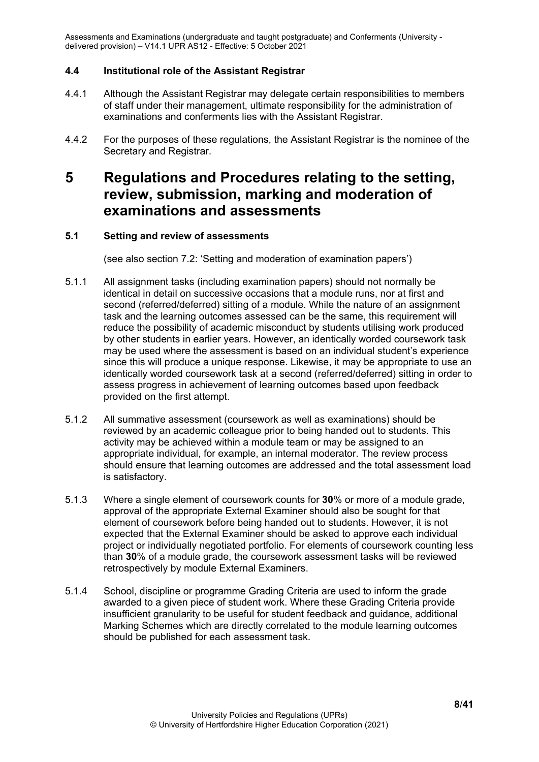#### <span id="page-7-0"></span>**4.4 Institutional role of the Assistant Registrar**

- 4.4.1 Although the Assistant Registrar may delegate certain responsibilities to members of staff under their management, ultimate responsibility for the administration of examinations and conferments lies with the Assistant Registrar.
- 4.4.2 For the purposes of these regulations, the Assistant Registrar is the nominee of the Secretary and Registrar.

## <span id="page-7-1"></span>**5 Regulations and Procedures relating to the setting, review, submission, marking and moderation of examinations and assessments**

#### <span id="page-7-2"></span>**5.1 Setting and review of assessments**

(see also section 7.2: 'Setting and moderation of examination papers')

- 5.1.1 All assignment tasks (including examination papers) should not normally be identical in detail on successive occasions that a module runs, nor at first and second (referred/deferred) sitting of a module. While the nature of an assignment task and the learning outcomes assessed can be the same, this requirement will reduce the possibility of academic misconduct by students utilising work produced by other students in earlier years. However, an identically worded coursework task may be used where the assessment is based on an individual student's experience since this will produce a unique response. Likewise, it may be appropriate to use an identically worded coursework task at a second (referred/deferred) sitting in order to assess progress in achievement of learning outcomes based upon feedback provided on the first attempt.
- 5.1.2 All summative assessment (coursework as well as examinations) should be reviewed by an academic colleague prior to being handed out to students. This activity may be achieved within a module team or may be assigned to an appropriate individual, for example, an internal moderator. The review process should ensure that learning outcomes are addressed and the total assessment load is satisfactory.
- 5.1.3 Where a single element of coursework counts for **30**% or more of a module grade, approval of the appropriate External Examiner should also be sought for that element of coursework before being handed out to students. However, it is not expected that the External Examiner should be asked to approve each individual project or individually negotiated portfolio. For elements of coursework counting less than **30**% of a module grade, the coursework assessment tasks will be reviewed retrospectively by module External Examiners.
- 5.1.4 School, discipline or programme Grading Criteria are used to inform the grade awarded to a given piece of student work. Where these Grading Criteria provide insufficient granularity to be useful for student feedback and guidance, additional Marking Schemes which are directly correlated to the module learning outcomes should be published for each assessment task.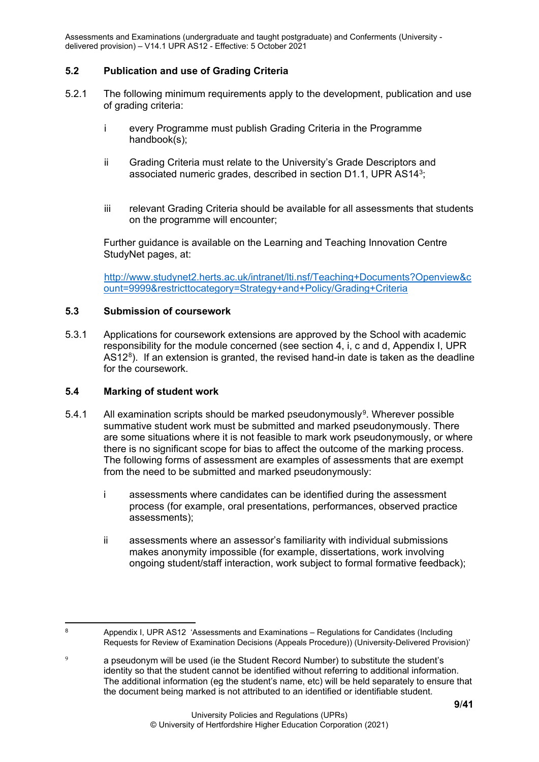#### <span id="page-8-0"></span>**5.2 Publication and use of Grading Criteria**

- 5.2.1 The following minimum requirements apply to the development, publication and use of grading criteria:
	- i every Programme must publish Grading Criteria in the Programme handbook(s);
	- ii Grading Criteria must relate to the University's Grade Descriptors and associated numeric grades, described in section D1.1, UPR AS143;
	- iii relevant Grading Criteria should be available for all assessments that students on the programme will encounter;

Further guidance is available on the Learning and Teaching Innovation Centre StudyNet pages, at:

[http://www.studynet2.herts.ac.uk/intranet/lti.nsf/Teaching+Documents?Openview&c](http://www.studynet2.herts.ac.uk/intranet/lti.nsf/Teaching+Documents?Openview&count=9999&restricttocategory=Strategy+and+Policy/Grading+Criteria) [ount=9999&restricttocategory=Strategy+and+Policy/Grading+Criteria](http://www.studynet2.herts.ac.uk/intranet/lti.nsf/Teaching+Documents?Openview&count=9999&restricttocategory=Strategy+and+Policy/Grading+Criteria)

#### <span id="page-8-1"></span>**5.3 Submission of coursework**

5.3.1 Applications for coursework extensions are approved by the School with academic responsibility for the module concerned (see section 4, i, c and d, Appendix I, UPR  $AS12<sup>8</sup>$ . If an extension is granted, the revised hand-in date is taken as the deadline for the coursework.

#### <span id="page-8-2"></span>**5.4 Marking of student work**

- 5.4.1 All examination scripts should be marked pseudonymously<sup>9</sup>. Wherever possible summative student work must be submitted and marked pseudonymously. There are some situations where it is not feasible to mark work pseudonymously, or where there is no significant scope for bias to affect the outcome of the marking process. The following forms of assessment are examples of assessments that are exempt from the need to be submitted and marked pseudonymously:
	- i assessments where candidates can be identified during the assessment process (for example, oral presentations, performances, observed practice assessments);
	- ii assessments where an assessor's familiarity with individual submissions makes anonymity impossible (for example, dissertations, work involving ongoing student/staff interaction, work subject to formal formative feedback);

<span id="page-8-3"></span><sup>8</sup> Appendix I, UPR AS12 'Assessments and Examinations – Regulations for Candidates (Including Requests for Review of Examination Decisions (Appeals Procedure)) (University-Delivered Provision)'

<span id="page-8-4"></span>a pseudonym will be used (ie the Student Record Number) to substitute the student's identity so that the student cannot be identified without referring to additional information. The additional information (eg the student's name, etc) will be held separately to ensure that the document being marked is not attributed to an identified or identifiable student.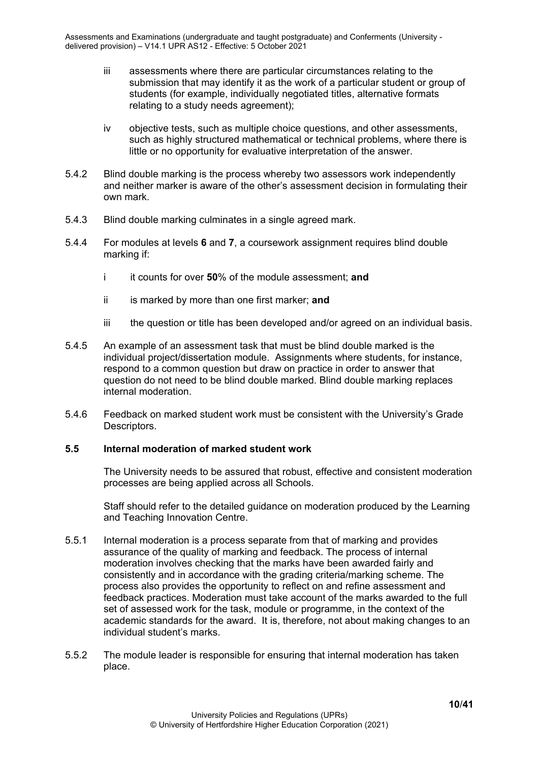- iii assessments where there are particular circumstances relating to the submission that may identify it as the work of a particular student or group of students (for example, individually negotiated titles, alternative formats relating to a study needs agreement);
- iv objective tests, such as multiple choice questions, and other assessments, such as highly structured mathematical or technical problems, where there is little or no opportunity for evaluative interpretation of the answer.
- 5.4.2 Blind double marking is the process whereby two assessors work independently and neither marker is aware of the other's assessment decision in formulating their own mark.
- 5.4.3 Blind double marking culminates in a single agreed mark.
- 5.4.4 For modules at levels **6** and **7**, a coursework assignment requires blind double marking if:
	- i it counts for over **50**% of the module assessment; **and**
	- ii is marked by more than one first marker; **and**
	- iii the question or title has been developed and/or agreed on an individual basis.
- 5.4.5 An example of an assessment task that must be blind double marked is the individual project/dissertation module. Assignments where students, for instance, respond to a common question but draw on practice in order to answer that question do not need to be blind double marked. Blind double marking replaces internal moderation.
- 5.4.6 Feedback on marked student work must be consistent with the University's Grade Descriptors.

#### <span id="page-9-0"></span>**5.5 Internal moderation of marked student work**

The University needs to be assured that robust, effective and consistent moderation processes are being applied across all Schools.

Staff should refer to the detailed guidance on moderation produced by the Learning and Teaching Innovation Centre.

- 5.5.1 Internal moderation is a process separate from that of marking and provides assurance of the quality of marking and feedback. The process of internal moderation involves checking that the marks have been awarded fairly and consistently and in accordance with the grading criteria/marking scheme. The process also provides the opportunity to reflect on and refine assessment and feedback practices. Moderation must take account of the marks awarded to the full set of assessed work for the task, module or programme, in the context of the academic standards for the award. It is, therefore, not about making changes to an individual student's marks.
- 5.5.2 The module leader is responsible for ensuring that internal moderation has taken place.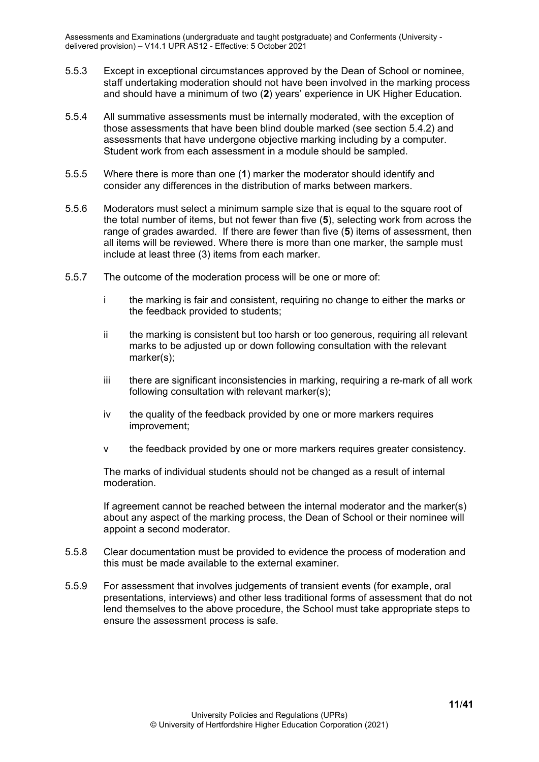- 5.5.3 Except in exceptional circumstances approved by the Dean of School or nominee, staff undertaking moderation should not have been involved in the marking process and should have a minimum of two (**2**) years' experience in UK Higher Education.
- 5.5.4 All summative assessments must be internally moderated, with the exception of those assessments that have been blind double marked (see section 5.4.2) and assessments that have undergone objective marking including by a computer. Student work from each assessment in a module should be sampled.
- 5.5.5 Where there is more than one (**1**) marker the moderator should identify and consider any differences in the distribution of marks between markers.
- 5.5.6 Moderators must select a minimum sample size that is equal to the square root of the total number of items, but not fewer than five (**5**), selecting work from across the range of grades awarded. If there are fewer than five (**5**) items of assessment, then all items will be reviewed. Where there is more than one marker, the sample must include at least three (3) items from each marker.
- 5.5.7 The outcome of the moderation process will be one or more of:
	- i the marking is fair and consistent, requiring no change to either the marks or the feedback provided to students;
	- ii the marking is consistent but too harsh or too generous, requiring all relevant marks to be adjusted up or down following consultation with the relevant marker(s);
	- iii there are significant inconsistencies in marking, requiring a re-mark of all work following consultation with relevant marker(s);
	- iv the quality of the feedback provided by one or more markers requires improvement;
	- v the feedback provided by one or more markers requires greater consistency.

The marks of individual students should not be changed as a result of internal moderation.

If agreement cannot be reached between the internal moderator and the marker(s) about any aspect of the marking process, the Dean of School or their nominee will appoint a second moderator.

- 5.5.8 Clear documentation must be provided to evidence the process of moderation and this must be made available to the external examiner.
- 5.5.9 For assessment that involves judgements of transient events (for example, oral presentations, interviews) and other less traditional forms of assessment that do not lend themselves to the above procedure, the School must take appropriate steps to ensure the assessment process is safe.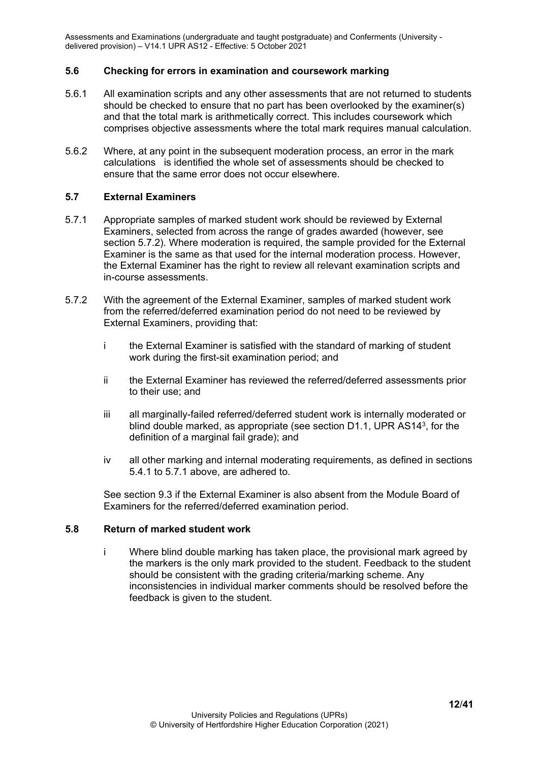#### <span id="page-11-0"></span>**5.6 Checking for errors in examination and coursework marking**

- 5.6.1 All examination scripts and any other assessments that are not returned to students should be checked to ensure that no part has been overlooked by the examiner(s) and that the total mark is arithmetically correct. This includes coursework which comprises objective assessments where the total mark requires manual calculation.
- 5.6.2 Where, at any point in the subsequent moderation process, an error in the mark calculations is identified the whole set of assessments should be checked to ensure that the same error does not occur elsewhere.

#### <span id="page-11-1"></span>**5.7 External Examiners**

- 5.7.1 Appropriate samples of marked student work should be reviewed by External Examiners, selected from across the range of grades awarded (however, see section 5.7.2). Where moderation is required, the sample provided for the External Examiner is the same as that used for the internal moderation process. However, the External Examiner has the right to review all relevant examination scripts and in-course assessments.
- 5.7.2 With the agreement of the External Examiner, samples of marked student work from the referred/deferred examination period do not need to be reviewed by External Examiners, providing that:
	- i the External Examiner is satisfied with the standard of marking of student work during the first-sit examination period; and
	- ii the External Examiner has reviewed the referred/deferred assessments prior to their use; and
	- iii all marginally-failed referred/deferred student work is internally moderated or blind double marked, as appropriate (see section D1.1, UPR AS143, for the definition of a marginal fail grade); and
	- iv all other marking and internal moderating requirements, as defined in sections 5.4.1 to 5.7.1 above, are adhered to.

See section 9.3 if the External Examiner is also absent from the Module Board of Examiners for the referred/deferred examination period.

#### <span id="page-11-2"></span>**5.8 Return of marked student work**

i Where blind double marking has taken place, the provisional mark agreed by the markers is the only mark provided to the student. Feedback to the student should be consistent with the grading criteria/marking scheme. Any inconsistencies in individual marker comments should be resolved before the feedback is given to the student.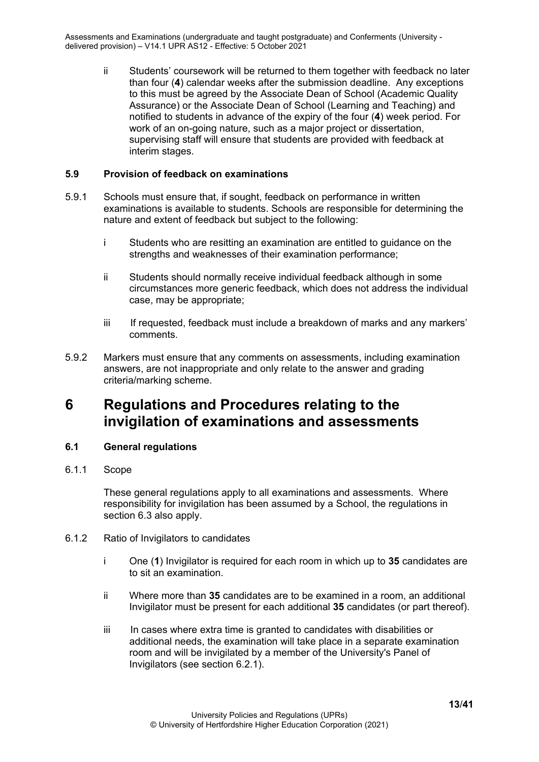ii Students' coursework will be returned to them together with feedback no later than four (**4**) calendar weeks after the submission deadline. Any exceptions to this must be agreed by the Associate Dean of School (Academic Quality Assurance) or the Associate Dean of School (Learning and Teaching) and notified to students in advance of the expiry of the four (**4**) week period. For work of an on-going nature, such as a major project or dissertation, supervising staff will ensure that students are provided with feedback at interim stages.

#### <span id="page-12-0"></span>**5.9 Provision of feedback on examinations**

- 5.9.1 Schools must ensure that, if sought, feedback on performance in written examinations is available to students. Schools are responsible for determining the nature and extent of feedback but subject to the following:
	- i Students who are resitting an examination are entitled to guidance on the strengths and weaknesses of their examination performance;
	- ii Students should normally receive individual feedback although in some circumstances more generic feedback, which does not address the individual case, may be appropriate;
	- iii If requested, feedback must include a breakdown of marks and any markers' comments.
- 5.9.2 Markers must ensure that any comments on assessments, including examination answers, are not inappropriate and only relate to the answer and grading criteria/marking scheme.

### <span id="page-12-1"></span>**6 Regulations and Procedures relating to the invigilation of examinations and assessments**

#### <span id="page-12-2"></span>**6.1 General regulations**

<span id="page-12-3"></span>6.1.1 Scope

These general regulations apply to all examinations and assessments. Where responsibility for invigilation has been assumed by a School, the regulations in section 6.3 also apply.

- <span id="page-12-4"></span>6.1.2 Ratio of Invigilators to candidates
	- i One (**1**) Invigilator is required for each room in which up to **35** candidates are to sit an examination.
	- ii Where more than **35** candidates are to be examined in a room, an additional Invigilator must be present for each additional **35** candidates (or part thereof).
	- iii In cases where extra time is granted to candidates with disabilities or additional needs, the examination will take place in a separate examination room and will be invigilated by a member of the University's Panel of Invigilators (see section 6.2.1).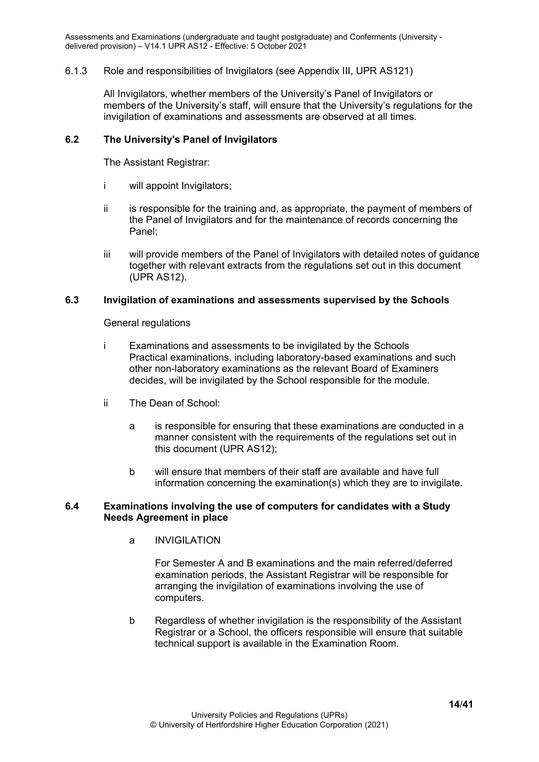#### <span id="page-13-0"></span>6.1.3 Role and responsibilities of Invigilators (see Appendix III, UPR AS121)

All Invigilators, whether members of the University's Panel of Invigilators or members of the University's staff, will ensure that the University's regulations for the invigilation of examinations and assessments are observed at all times.

#### <span id="page-13-1"></span>**6.2 The University's Panel of Invigilators**

The Assistant Registrar:

- i will appoint Invigilators;
- $ii$  is responsible for the training and, as appropriate, the payment of members of the Panel of Invigilators and for the maintenance of records concerning the Panel;
- iii will provide members of the Panel of Invigilators with detailed notes of guidance together with relevant extracts from the regulations set out in this document (UPR AS12).

#### <span id="page-13-2"></span>**6.3 Invigilation of examinations and assessments supervised by the Schools**

General regulations

- i Examinations and assessments to be invigilated by the Schools Practical examinations, including laboratory-based examinations and such other non-laboratory examinations as the relevant Board of Examiners decides, will be invigilated by the School responsible for the module.
- ii The Dean of School:
	- a is responsible for ensuring that these examinations are conducted in a manner consistent with the requirements of the regulations set out in this document (UPR AS12);
	- b will ensure that members of their staff are available and have full information concerning the examination(s) which they are to invigilate.

#### <span id="page-13-3"></span>**6.4 Examinations involving the use of computers for candidates with a Study Needs Agreement in place**

a INVIGILATION

For Semester A and B examinations and the main referred/deferred examination periods, the Assistant Registrar will be responsible for arranging the invigilation of examinations involving the use of computers.

b Regardless of whether invigilation is the responsibility of the Assistant Registrar or a School, the officers responsible will ensure that suitable technical support is available in the Examination Room.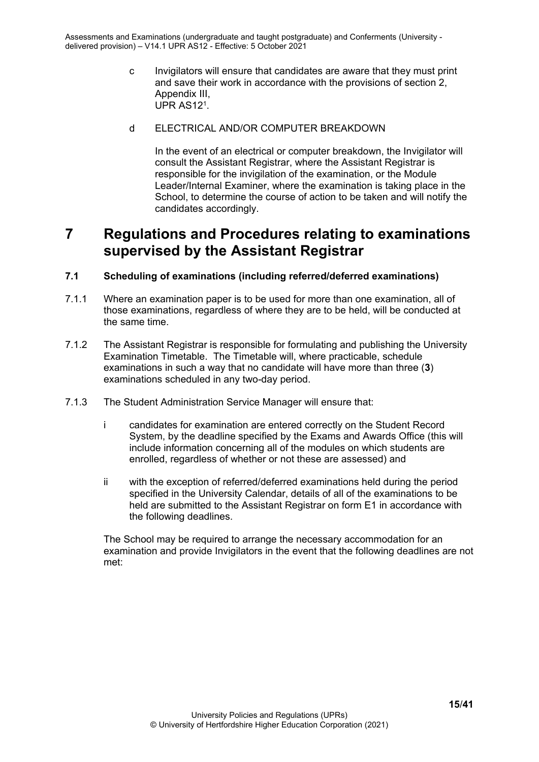c Invigilators will ensure that candidates are aware that they must print and save their work in accordance with the provisions of section 2, Appendix III, UPR AS121.

#### d ELECTRICAL AND/OR COMPUTER BREAKDOWN

In the event of an electrical or computer breakdown, the Invigilator will consult the Assistant Registrar, where the Assistant Registrar is responsible for the invigilation of the examination, or the Module Leader/Internal Examiner, where the examination is taking place in the School, to determine the course of action to be taken and will notify the candidates accordingly.

## <span id="page-14-0"></span>**7 Regulations and Procedures relating to examinations supervised by the Assistant Registrar**

#### <span id="page-14-1"></span>**7.1 Scheduling of examinations (including referred/deferred examinations)**

- 7.1.1 Where an examination paper is to be used for more than one examination, all of those examinations, regardless of where they are to be held, will be conducted at the same time.
- 7.1.2 The Assistant Registrar is responsible for formulating and publishing the University Examination Timetable. The Timetable will, where practicable, schedule examinations in such a way that no candidate will have more than three (**3**) examinations scheduled in any two-day period.
- 7.1.3 The Student Administration Service Manager will ensure that:
	- i candidates for examination are entered correctly on the Student Record System, by the deadline specified by the Exams and Awards Office (this will include information concerning all of the modules on which students are enrolled, regardless of whether or not these are assessed) and
	- ii with the exception of referred/deferred examinations held during the period specified in the University Calendar, details of all of the examinations to be held are submitted to the Assistant Registrar on form E1 in accordance with the following deadlines.

The School may be required to arrange the necessary accommodation for an examination and provide Invigilators in the event that the following deadlines are not met: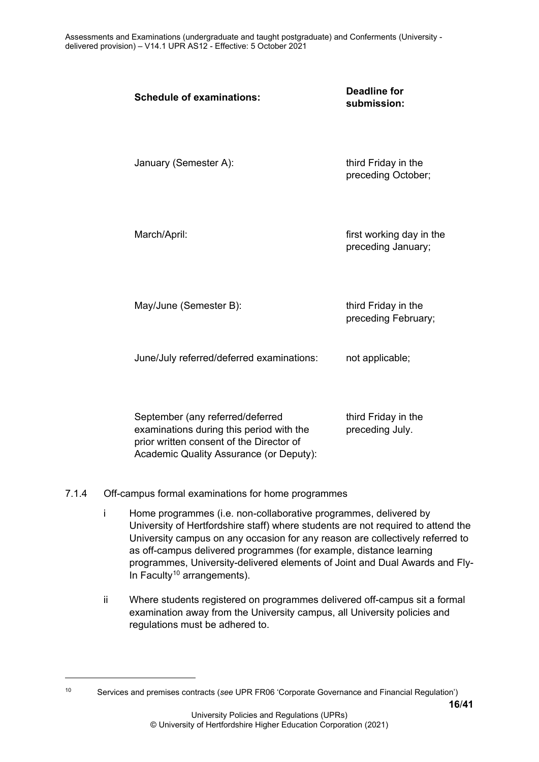| <b>Schedule of examinations:</b>                                                                                                                                    | <b>Deadline for</b><br>submission:             |
|---------------------------------------------------------------------------------------------------------------------------------------------------------------------|------------------------------------------------|
| January (Semester A):                                                                                                                                               | third Friday in the<br>preceding October;      |
| March/April:                                                                                                                                                        | first working day in the<br>preceding January; |
| May/June (Semester B):                                                                                                                                              | third Friday in the<br>preceding February;     |
| June/July referred/deferred examinations:                                                                                                                           | not applicable;                                |
| September (any referred/deferred<br>examinations during this period with the<br>prior written consent of the Director of<br>Academic Quality Assurance (or Deputy): | third Friday in the<br>preceding July.         |

#### <span id="page-15-0"></span>7.1.4 Off-campus formal examinations for home programmes

- i Home programmes (i.e. non-collaborative programmes, delivered by University of Hertfordshire staff) where students are not required to attend the University campus on any occasion for any reason are collectively referred to as off-campus delivered programmes (for example, distance learning programmes, University-delivered elements of Joint and Dual Awards and Fly-In Faculty<sup>[10](#page-15-1)</sup> arrangements).
- ii Where students registered on programmes delivered off-campus sit a formal examination away from the University campus, all University policies and regulations must be adhered to.

<span id="page-15-1"></span><sup>10</sup> Services and premises contracts (*see* UPR FR06 'Corporate Governance and Financial Regulation')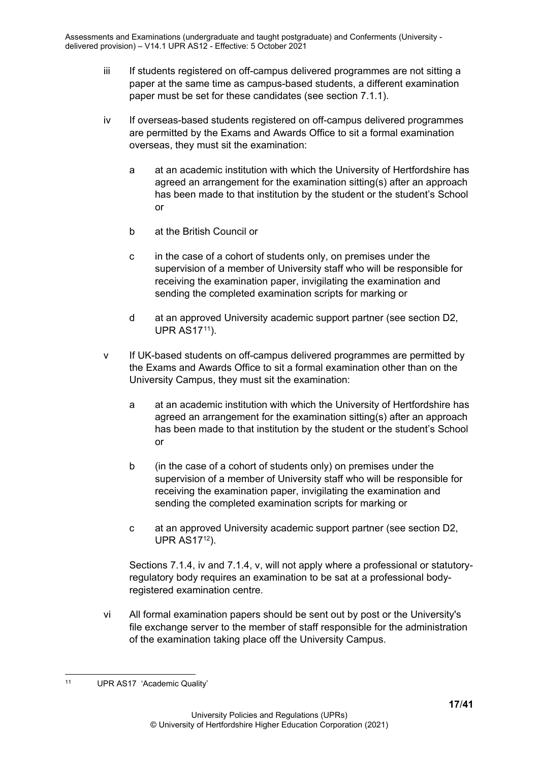- iii If students registered on off-campus delivered programmes are not sitting a paper at the same time as campus-based students, a different examination paper must be set for these candidates (see section 7.1.1).
- iv If overseas-based students registered on off-campus delivered programmes are permitted by the Exams and Awards Office to sit a formal examination overseas, they must sit the examination:
	- a at an academic institution with which the University of Hertfordshire has agreed an arrangement for the examination sitting(s) after an approach has been made to that institution by the student or the student's School or
	- b at the British Council or
	- c in the case of a cohort of students only, on premises under the supervision of a member of University staff who will be responsible for receiving the examination paper, invigilating the examination and sending the completed examination scripts for marking or
	- d at an approved University academic support partner (see section D2, UPR AS17[11\)](#page-16-0).
- v If UK-based students on off-campus delivered programmes are permitted by the Exams and Awards Office to sit a formal examination other than on the University Campus, they must sit the examination:
	- a at an academic institution with which the University of Hertfordshire has agreed an arrangement for the examination sitting(s) after an approach has been made to that institution by the student or the student's School or
	- b (in the case of a cohort of students only) on premises under the supervision of a member of University staff who will be responsible for receiving the examination paper, invigilating the examination and sending the completed examination scripts for marking or
	- c at an approved University academic support partner (see section D2, UPR AS1712).

Sections 7.1.4, iv and 7.1.4, v, will not apply where a professional or statutoryregulatory body requires an examination to be sat at a professional bodyregistered examination centre.

vi All formal examination papers should be sent out by post or the University's file exchange server to the member of staff responsible for the administration of the examination taking place off the University Campus.

<span id="page-16-0"></span><sup>11</sup> UPR AS17 'Academic Quality'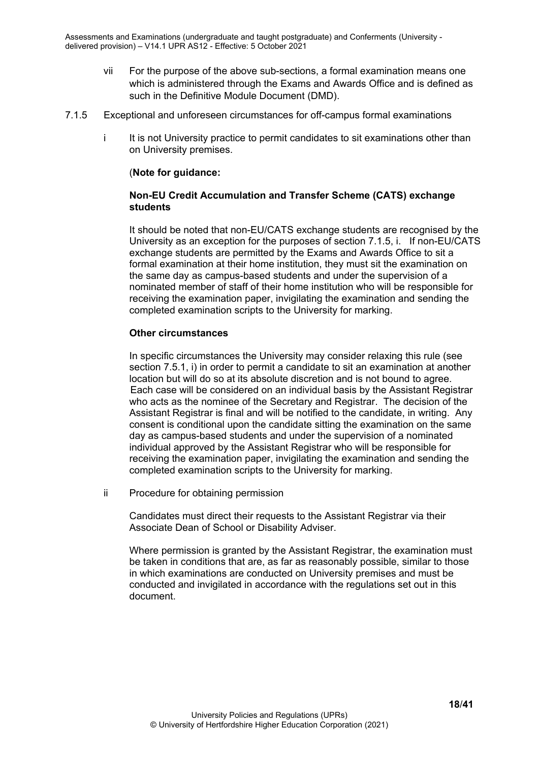- vii For the purpose of the above sub-sections, a formal examination means one which is administered through the Exams and Awards Office and is defined as such in the Definitive Module Document (DMD).
- <span id="page-17-0"></span>7.1.5 Exceptional and unforeseen circumstances for off-campus formal examinations
	- i It is not University practice to permit candidates to sit examinations other than on University premises.

#### (**Note for guidance:**

#### **Non-EU Credit Accumulation and Transfer Scheme (CATS) exchange students**

It should be noted that non-EU/CATS exchange students are recognised by the University as an exception for the purposes of section 7.1.5, i. If non-EU/CATS exchange students are permitted by the Exams and Awards Office to sit a formal examination at their home institution, they must sit the examination on the same day as campus-based students and under the supervision of a nominated member of staff of their home institution who will be responsible for receiving the examination paper, invigilating the examination and sending the completed examination scripts to the University for marking.

#### **Other circumstances**

In specific circumstances the University may consider relaxing this rule (see section 7.5.1, i) in order to permit a candidate to sit an examination at another location but will do so at its absolute discretion and is not bound to agree. Each case will be considered on an individual basis by the Assistant Registrar who acts as the nominee of the Secretary and Registrar. The decision of the Assistant Registrar is final and will be notified to the candidate, in writing. Any consent is conditional upon the candidate sitting the examination on the same day as campus-based students and under the supervision of a nominated individual approved by the Assistant Registrar who will be responsible for receiving the examination paper, invigilating the examination and sending the completed examination scripts to the University for marking.

ii Procedure for obtaining permission

Candidates must direct their requests to the Assistant Registrar via their Associate Dean of School or Disability Adviser.

Where permission is granted by the Assistant Registrar, the examination must be taken in conditions that are, as far as reasonably possible, similar to those in which examinations are conducted on University premises and must be conducted and invigilated in accordance with the regulations set out in this document.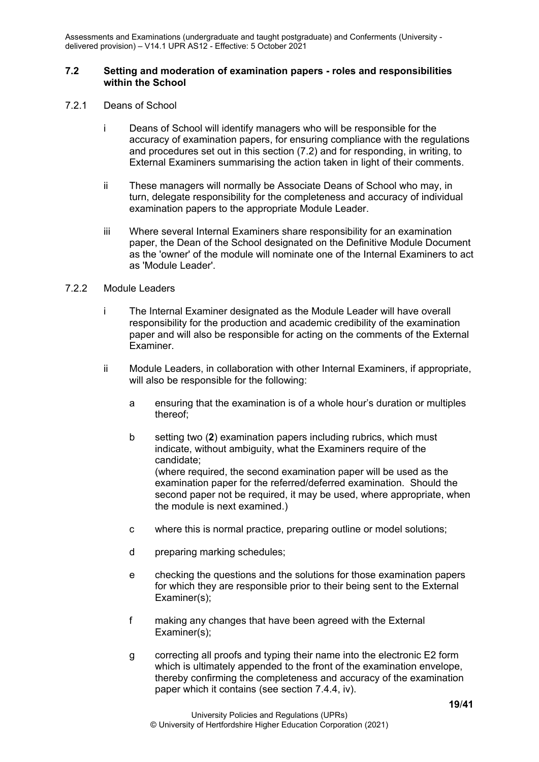#### <span id="page-18-0"></span>**7.2 Setting and moderation of examination papers - roles and responsibilities within the School**

- <span id="page-18-1"></span>7.2.1 Deans of School
	- i Deans of School will identify managers who will be responsible for the accuracy of examination papers, for ensuring compliance with the regulations and procedures set out in this section (7.2) and for responding, in writing, to External Examiners summarising the action taken in light of their comments.
	- ii These managers will normally be Associate Deans of School who may, in turn, delegate responsibility for the completeness and accuracy of individual examination papers to the appropriate Module Leader.
	- iii Where several Internal Examiners share responsibility for an examination paper, the Dean of the School designated on the Definitive Module Document as the 'owner' of the module will nominate one of the Internal Examiners to act as 'Module Leader'.

#### <span id="page-18-2"></span>7.2.2 Module Leaders

- i The Internal Examiner designated as the Module Leader will have overall responsibility for the production and academic credibility of the examination paper and will also be responsible for acting on the comments of the External Examiner.
- ii Module Leaders, in collaboration with other Internal Examiners, if appropriate, will also be responsible for the following:
	- a ensuring that the examination is of a whole hour's duration or multiples thereof;
	- b setting two (**2**) examination papers including rubrics, which must indicate, without ambiguity, what the Examiners require of the candidate; (where required, the second examination paper will be used as the examination paper for the referred/deferred examination. Should the second paper not be required, it may be used, where appropriate, when the module is next examined.)
	- c where this is normal practice, preparing outline or model solutions;
	- d preparing marking schedules;
	- e checking the questions and the solutions for those examination papers for which they are responsible prior to their being sent to the External Examiner(s);
	- f making any changes that have been agreed with the External Examiner(s);
	- g correcting all proofs and typing their name into the electronic E2 form which is ultimately appended to the front of the examination envelope, thereby confirming the completeness and accuracy of the examination paper which it contains (see section 7.4.4, iv).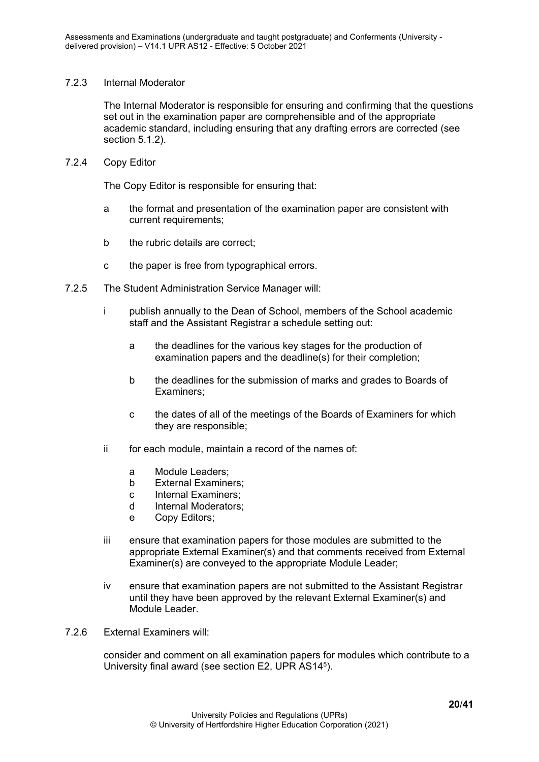#### <span id="page-19-0"></span>7.2.3 Internal Moderator

The Internal Moderator is responsible for ensuring and confirming that the questions set out in the examination paper are comprehensible and of the appropriate academic standard, including ensuring that any drafting errors are corrected (see section 5.1.2).

#### <span id="page-19-1"></span>7.2.4 Copy Editor

The Copy Editor is responsible for ensuring that:

- a the format and presentation of the examination paper are consistent with current requirements;
- b the rubric details are correct;
- c the paper is free from typographical errors.
- <span id="page-19-2"></span>7.2.5 The Student Administration Service Manager will:
	- i publish annually to the Dean of School, members of the School academic staff and the Assistant Registrar a schedule setting out:
		- a the deadlines for the various key stages for the production of examination papers and the deadline(s) for their completion;
		- b the deadlines for the submission of marks and grades to Boards of Examiners;
		- c the dates of all of the meetings of the Boards of Examiners for which they are responsible;
	- ii for each module, maintain a record of the names of:
		- a Module Leaders;
		- b External Examiners;
		- c Internal Examiners;
		- d Internal Moderators;
		- e Copy Editors;
	- iii ensure that examination papers for those modules are submitted to the appropriate External Examiner(s) and that comments received from External Examiner(s) are conveyed to the appropriate Module Leader;
	- iv ensure that examination papers are not submitted to the Assistant Registrar until they have been approved by the relevant External Examiner(s) and Module Leader.
- 7.2.6 External Examiners will:

consider and comment on all examination papers for modules which contribute to a University final award (see section E2, UPR AS145).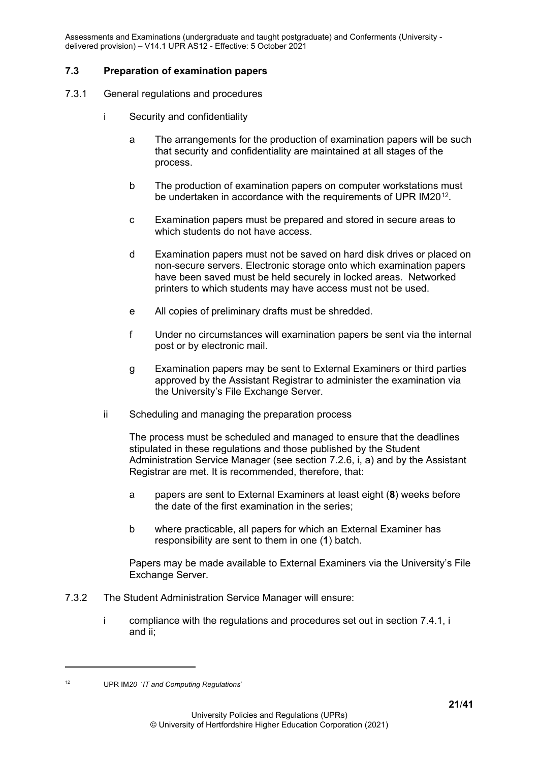#### <span id="page-20-0"></span>**7.3 Preparation of examination papers**

- <span id="page-20-1"></span>7.3.1 General regulations and procedures
	- i Security and confidentiality
		- a The arrangements for the production of examination papers will be such that security and confidentiality are maintained at all stages of the process.
		- b The production of examination papers on computer workstations must be undertaken in accordance with the requirements of UPR IM20[12.](#page-20-2)
		- c Examination papers must be prepared and stored in secure areas to which students do not have access.
		- d Examination papers must not be saved on hard disk drives or placed on non-secure servers. Electronic storage onto which examination papers have been saved must be held securely in locked areas. Networked printers to which students may have access must not be used.
		- e All copies of preliminary drafts must be shredded.
		- f Under no circumstances will examination papers be sent via the internal post or by electronic mail.
		- g Examination papers may be sent to External Examiners or third parties approved by the Assistant Registrar to administer the examination via the University's File Exchange Server.
	- ii Scheduling and managing the preparation process

The process must be scheduled and managed to ensure that the deadlines stipulated in these regulations and those published by the Student Administration Service Manager (see section 7.2.6, i, a) and by the Assistant Registrar are met. It is recommended, therefore, that:

- a papers are sent to External Examiners at least eight (**8**) weeks before the date of the first examination in the series;
- b where practicable, all papers for which an External Examiner has responsibility are sent to them in one (**1**) batch.

Papers may be made available to External Examiners via the University's File Exchange Server.

- 7.3.2 The Student Administration Service Manager will ensure:
	- i compliance with the regulations and procedures set out in section 7.4.1, i and ii;

<span id="page-20-2"></span>

<sup>12</sup> UPR IM*20* '*IT and Computing Regulations*'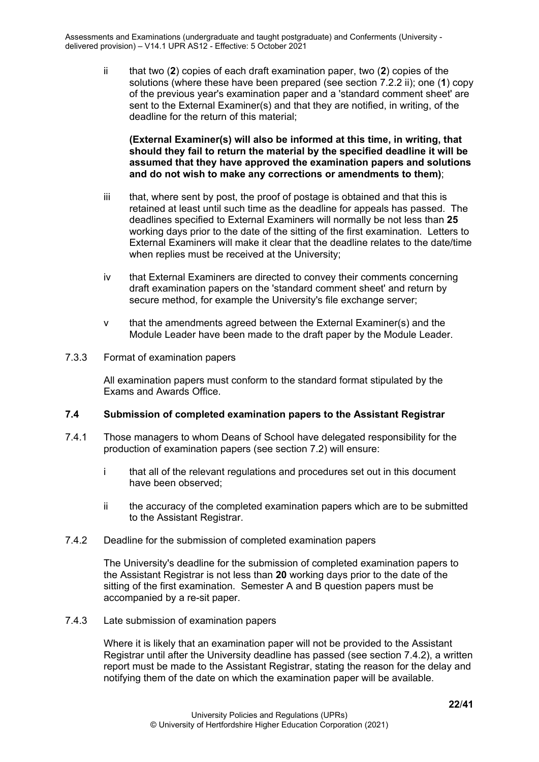ii that two (**2**) copies of each draft examination paper, two (**2**) copies of the solutions (where these have been prepared (see section 7.2.2 ii); one (**1**) copy of the previous year's examination paper and a 'standard comment sheet' are sent to the External Examiner(s) and that they are notified, in writing, of the deadline for the return of this material;

**(External Examiner(s) will also be informed at this time, in writing, that should they fail to return the material by the specified deadline it will be assumed that they have approved the examination papers and solutions and do not wish to make any corrections or amendments to them)**;

- iii that, where sent by post, the proof of postage is obtained and that this is retained at least until such time as the deadline for appeals has passed. The deadlines specified to External Examiners will normally be not less than **25** working days prior to the date of the sitting of the first examination. Letters to External Examiners will make it clear that the deadline relates to the date/time when replies must be received at the University;
- iv that External Examiners are directed to convey their comments concerning draft examination papers on the 'standard comment sheet' and return by secure method, for example the University's file exchange server;
- v that the amendments agreed between the External Examiner(s) and the Module Leader have been made to the draft paper by the Module Leader.
- <span id="page-21-0"></span>7.3.3 Format of examination papers

All examination papers must conform to the standard format stipulated by the Exams and Awards Office.

#### <span id="page-21-1"></span>**7.4 Submission of completed examination papers to the Assistant Registrar**

- 7.4.1 Those managers to whom Deans of School have delegated responsibility for the production of examination papers (see section 7.2) will ensure:
	- i that all of the relevant regulations and procedures set out in this document have been observed;
	- ii the accuracy of the completed examination papers which are to be submitted to the Assistant Registrar.
- <span id="page-21-2"></span>7.4.2 Deadline for the submission of completed examination papers

The University's deadline for the submission of completed examination papers to the Assistant Registrar is not less than **20** working days prior to the date of the sitting of the first examination. Semester A and B question papers must be accompanied by a re-sit paper.

<span id="page-21-3"></span>7.4.3 Late submission of examination papers

Where it is likely that an examination paper will not be provided to the Assistant Registrar until after the University deadline has passed (see section 7.4.2), a written report must be made to the Assistant Registrar, stating the reason for the delay and notifying them of the date on which the examination paper will be available.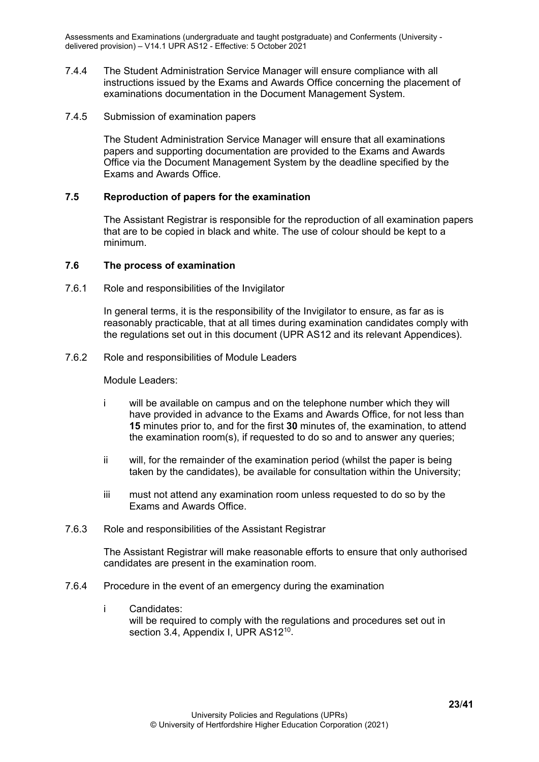- 7.4.4 The Student Administration Service Manager will ensure compliance with all instructions issued by the Exams and Awards Office concerning the placement of examinations documentation in the Document Management System.
- <span id="page-22-0"></span>7.4.5 Submission of examination papers

The Student Administration Service Manager will ensure that all examinations papers and supporting documentation are provided to the Exams and Awards Office via the Document Management System by the deadline specified by the Exams and Awards Office.

#### <span id="page-22-1"></span>**7.5 Reproduction of papers for the examination**

The Assistant Registrar is responsible for the reproduction of all examination papers that are to be copied in black and white. The use of colour should be kept to a minimum.

#### <span id="page-22-2"></span>**7.6 The process of examination**

<span id="page-22-3"></span>7.6.1 Role and responsibilities of the Invigilator

In general terms, it is the responsibility of the Invigilator to ensure, as far as is reasonably practicable, that at all times during examination candidates comply with the regulations set out in this document (UPR AS12 and its relevant Appendices).

<span id="page-22-4"></span>7.6.2 Role and responsibilities of Module Leaders

Module Leaders:

- i will be available on campus and on the telephone number which they will have provided in advance to the Exams and Awards Office, for not less than **15** minutes prior to, and for the first **30** minutes of, the examination, to attend the examination room(s), if requested to do so and to answer any queries;
- ii will, for the remainder of the examination period (whilst the paper is being taken by the candidates), be available for consultation within the University;
- iii must not attend any examination room unless requested to do so by the Exams and Awards Office.
- <span id="page-22-5"></span>7.6.3 Role and responsibilities of the Assistant Registrar

The Assistant Registrar will make reasonable efforts to ensure that only authorised candidates are present in the examination room.

- <span id="page-22-6"></span>7.6.4 Procedure in the event of an emergency during the examination
	- i Candidates: will be required to comply with the regulations and procedures set out in section 3.4, Appendix I, UPR AS12<sup>10</sup>.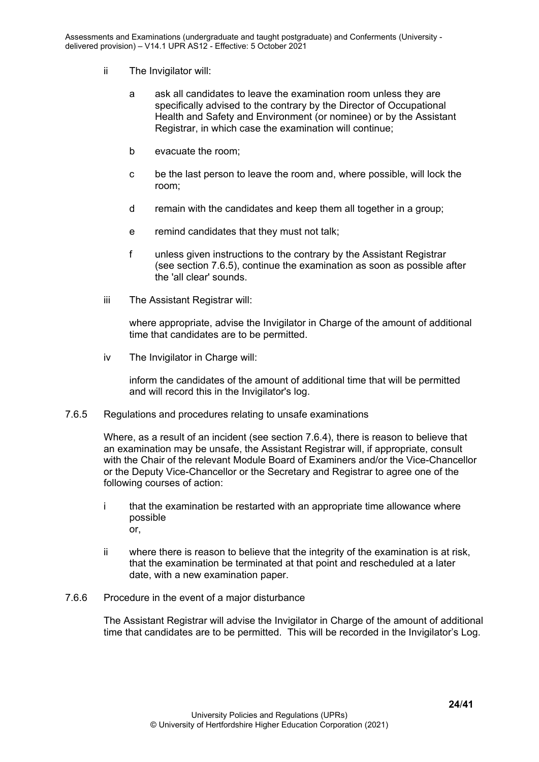- ii The Invigilator will:
	- a ask all candidates to leave the examination room unless they are specifically advised to the contrary by the Director of Occupational Health and Safety and Environment (or nominee) or by the Assistant Registrar, in which case the examination will continue;
	- b evacuate the room;
	- c be the last person to leave the room and, where possible, will lock the room;
	- d remain with the candidates and keep them all together in a group;
	- e remind candidates that they must not talk;
	- f unless given instructions to the contrary by the Assistant Registrar (see section 7.6.5), continue the examination as soon as possible after the 'all clear' sounds.
- iii The Assistant Registrar will:

where appropriate, advise the Invigilator in Charge of the amount of additional time that candidates are to be permitted.

iv The Invigilator in Charge will:

inform the candidates of the amount of additional time that will be permitted and will record this in the Invigilator's log.

<span id="page-23-0"></span>7.6.5 Regulations and procedures relating to unsafe examinations

Where, as a result of an incident (see section 7.6.4), there is reason to believe that an examination may be unsafe, the Assistant Registrar will, if appropriate, consult with the Chair of the relevant Module Board of Examiners and/or the Vice-Chancellor or the Deputy Vice-Chancellor or the Secretary and Registrar to agree one of the following courses of action:

- i that the examination be restarted with an appropriate time allowance where possible or,
- ii where there is reason to believe that the integrity of the examination is at risk, that the examination be terminated at that point and rescheduled at a later date, with a new examination paper.
- <span id="page-23-1"></span>7.6.6 Procedure in the event of a major disturbance

The Assistant Registrar will advise the Invigilator in Charge of the amount of additional time that candidates are to be permitted. This will be recorded in the Invigilator's Log.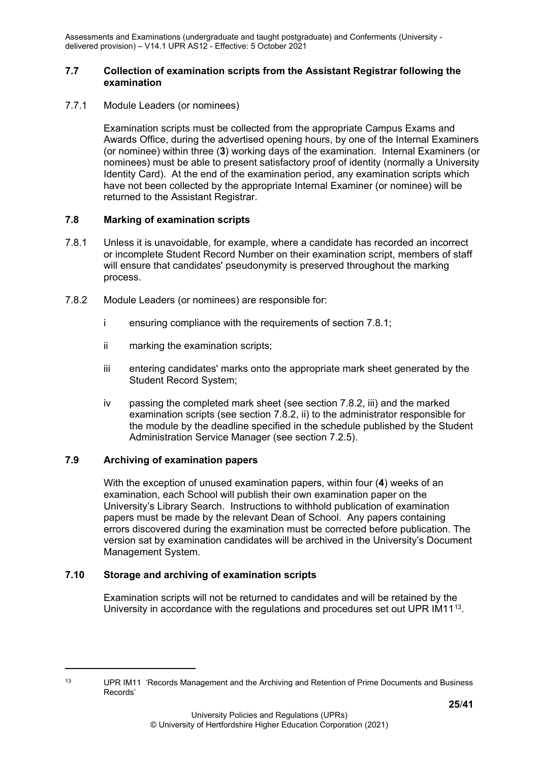#### <span id="page-24-0"></span>**7.7 Collection of examination scripts from the Assistant Registrar following the examination**

<span id="page-24-1"></span>7.7.1 Module Leaders (or nominees)

Examination scripts must be collected from the appropriate Campus Exams and Awards Office, during the advertised opening hours, by one of the Internal Examiners (or nominee) within three (**3**) working days of the examination. Internal Examiners (or nominees) must be able to present satisfactory proof of identity (normally a University Identity Card). At the end of the examination period, any examination scripts which have not been collected by the appropriate Internal Examiner (or nominee) will be returned to the Assistant Registrar.

#### <span id="page-24-2"></span>**7.8 Marking of examination scripts**

- 7.8.1 Unless it is unavoidable, for example, where a candidate has recorded an incorrect or incomplete Student Record Number on their examination script, members of staff will ensure that candidates' pseudonymity is preserved throughout the marking process.
- 7.8.2 Module Leaders (or nominees) are responsible for:
	- i ensuring compliance with the requirements of section 7.8.1;
	- ii marking the examination scripts;
	- iii entering candidates' marks onto the appropriate mark sheet generated by the Student Record System;
	- iv passing the completed mark sheet (see section 7.8.2, iii) and the marked examination scripts (see section 7.8.2, ii) to the administrator responsible for the module by the deadline specified in the schedule published by the Student Administration Service Manager (see section 7.2.5).

#### <span id="page-24-3"></span>**7.9 Archiving of examination papers**

With the exception of unused examination papers, within four (**4**) weeks of an examination, each School will publish their own examination paper on the University's Library Search. Instructions to withhold publication of examination papers must be made by the relevant Dean of School. Any papers containing errors discovered during the examination must be corrected before publication. The version sat by examination candidates will be archived in the University's Document Management System.

#### <span id="page-24-4"></span>**7.10 Storage and archiving of examination scripts**

Examination scripts will not be returned to candidates and will be retained by the University in accordance with the regulations and procedures set out UPR  $IM11<sup>13</sup>$ .

<span id="page-24-5"></span><sup>&</sup>lt;sup>13</sup> UPR IM11 'Records Management and the Archiving and Retention of Prime Documents and Business Records'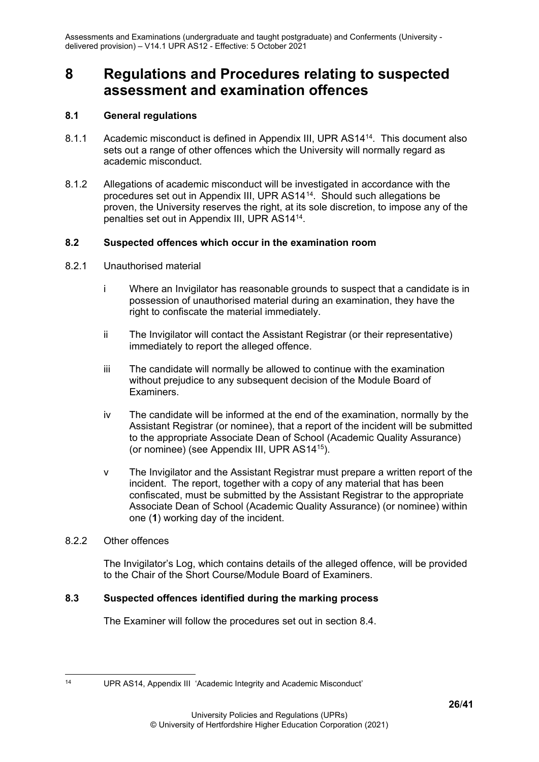# <span id="page-25-0"></span>**8 Regulations and Procedures relating to suspected assessment and examination offences**

#### <span id="page-25-1"></span>**8.1 General regulations**

- 8.1.1 Academic misconduct is defined in Appendix III, UPR AS1414. This document also sets out a range of other offences which the University will normally regard as academic misconduct.
- 8.1.2 Allegations of academic misconduct will be investigated in accordance with the procedures set out in Appendix III, UPR AS14[14](#page-25-6). Should such allegations be proven, the University reserves the right, at its sole discretion, to impose any of the penalties set out in Appendix III, UPR AS1414.

#### <span id="page-25-2"></span>**8.2 Suspected offences which occur in the examination room**

- <span id="page-25-3"></span>8.2.1 Unauthorised material
	- i Where an Invigilator has reasonable grounds to suspect that a candidate is in possession of unauthorised material during an examination, they have the right to confiscate the material immediately.
	- ii The Invigilator will contact the Assistant Registrar (or their representative) immediately to report the alleged offence.
	- iii The candidate will normally be allowed to continue with the examination without prejudice to any subsequent decision of the Module Board of Examiners.
	- iv The candidate will be informed at the end of the examination, normally by the Assistant Registrar (or nominee), that a report of the incident will be submitted to the appropriate Associate Dean of School (Academic Quality Assurance) (or nominee) (see Appendix III, UPR AS1415).
	- v The Invigilator and the Assistant Registrar must prepare a written report of the incident. The report, together with a copy of any material that has been confiscated, must be submitted by the Assistant Registrar to the appropriate Associate Dean of School (Academic Quality Assurance) (or nominee) within one (**1**) working day of the incident.

#### <span id="page-25-4"></span>8.2.2 Other offences

The Invigilator's Log, which contains details of the alleged offence, will be provided to the Chair of the Short Course/Module Board of Examiners.

#### <span id="page-25-5"></span>**8.3 Suspected offences identified during the marking process**

The Examiner will follow the procedures set out in section 8.4.

<span id="page-25-6"></span><sup>14</sup> UPR AS14, Appendix III 'Academic Integrity and Academic Misconduct'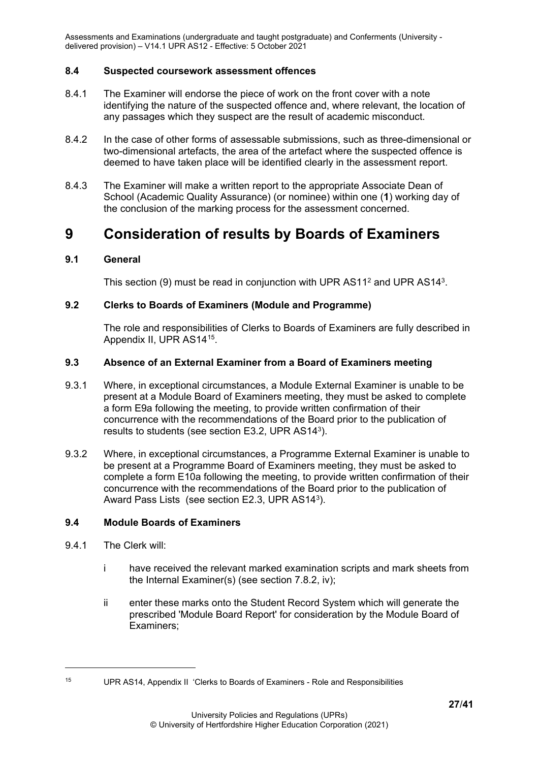#### <span id="page-26-0"></span>**8.4 Suspected coursework assessment offences**

- 8.4.1 The Examiner will endorse the piece of work on the front cover with a note identifying the nature of the suspected offence and, where relevant, the location of any passages which they suspect are the result of academic misconduct.
- 8.4.2 In the case of other forms of assessable submissions, such as three-dimensional or two-dimensional artefacts, the area of the artefact where the suspected offence is deemed to have taken place will be identified clearly in the assessment report.
- 8.4.3 The Examiner will make a written report to the appropriate Associate Dean of School (Academic Quality Assurance) (or nominee) within one (**1**) working day of the conclusion of the marking process for the assessment concerned.

## <span id="page-26-1"></span>**9 Consideration of results by Boards of Examiners**

#### <span id="page-26-2"></span>**9.1 General**

This section (9) must be read in conjunction with UPR AS11<sup>2</sup> and UPR AS14<sup>3</sup>.

#### <span id="page-26-3"></span>**9.2 Clerks to Boards of Examiners (Module and Programme)**

The role and responsibilities of Clerks to Boards of Examiners are fully described in Appendix II, UPR AS14[15](#page-26-6).

#### <span id="page-26-4"></span>**9.3 Absence of an External Examiner from a Board of Examiners meeting**

- 9.3.1 Where, in exceptional circumstances, a Module External Examiner is unable to be present at a Module Board of Examiners meeting, they must be asked to complete a form E9a following the meeting, to provide written confirmation of their concurrence with the recommendations of the Board prior to the publication of results to students (see section E3.2, UPR AS143).
- 9.3.2 Where, in exceptional circumstances, a Programme External Examiner is unable to be present at a Programme Board of Examiners meeting, they must be asked to complete a form E10a following the meeting, to provide written confirmation of their concurrence with the recommendations of the Board prior to the publication of Award Pass Lists (see section E2.3, UPR AS143).

#### <span id="page-26-5"></span>**9.4 Module Boards of Examiners**

- 9.4.1 The Clerk will:
	- i have received the relevant marked examination scripts and mark sheets from the Internal Examiner(s) (see section 7.8.2, iv);
	- ii enter these marks onto the Student Record System which will generate the prescribed 'Module Board Report' for consideration by the Module Board of Examiners;

<span id="page-26-6"></span><sup>15</sup> UPR AS14, Appendix II 'Clerks to Boards of Examiners - Role and Responsibilities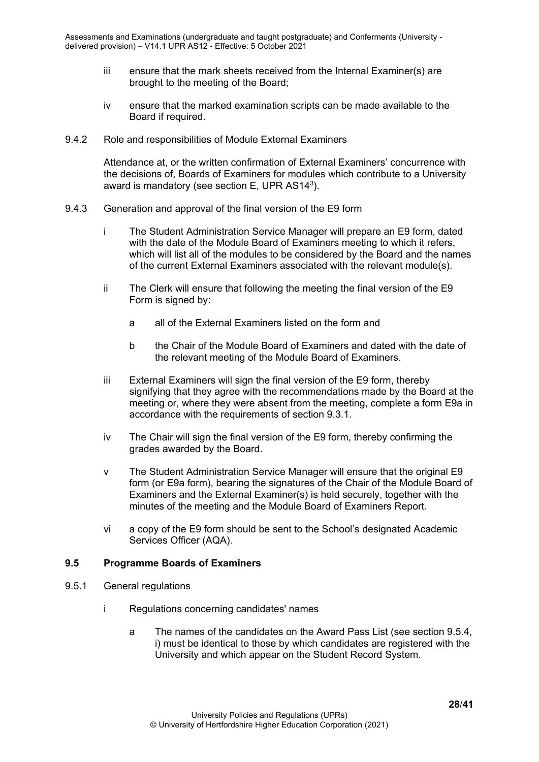- iii ensure that the mark sheets received from the Internal Examiner(s) are brought to the meeting of the Board;
- iv ensure that the marked examination scripts can be made available to the Board if required.
- <span id="page-27-0"></span>9.4.2 Role and responsibilities of Module External Examiners

Attendance at, or the written confirmation of External Examiners' concurrence with the decisions of, Boards of Examiners for modules which contribute to a University award is mandatory (see section E, UPR AS143).

- <span id="page-27-1"></span>9.4.3 Generation and approval of the final version of the E9 form
	- i The Student Administration Service Manager will prepare an E9 form, dated with the date of the Module Board of Examiners meeting to which it refers, which will list all of the modules to be considered by the Board and the names of the current External Examiners associated with the relevant module(s).
	- ii The Clerk will ensure that following the meeting the final version of the E9 Form is signed by:
		- a all of the External Examiners listed on the form and
		- b the Chair of the Module Board of Examiners and dated with the date of the relevant meeting of the Module Board of Examiners.
	- iii External Examiners will sign the final version of the E9 form, thereby signifying that they agree with the recommendations made by the Board at the meeting or, where they were absent from the meeting, complete a form E9a in accordance with the requirements of section 9.3.1.
	- iv The Chair will sign the final version of the E9 form, thereby confirming the grades awarded by the Board.
	- v The Student Administration Service Manager will ensure that the original E9 form (or E9a form), bearing the signatures of the Chair of the Module Board of Examiners and the External Examiner(s) is held securely, together with the minutes of the meeting and the Module Board of Examiners Report.
	- vi a copy of the E9 form should be sent to the School's designated Academic Services Officer (AQA).

#### <span id="page-27-2"></span>**9.5 Programme Boards of Examiners**

- <span id="page-27-3"></span>9.5.1 General regulations
	- i Regulations concerning candidates' names
		- a The names of the candidates on the Award Pass List (see section 9.5.4, i) must be identical to those by which candidates are registered with the University and which appear on the Student Record System.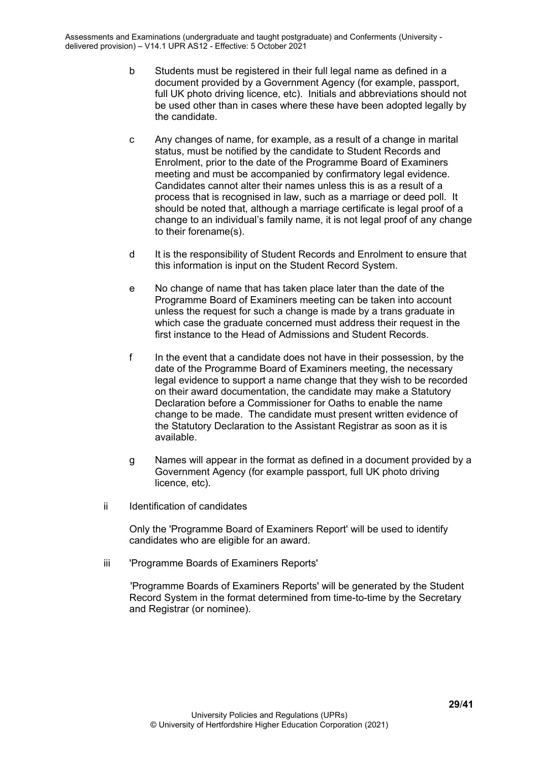- b Students must be registered in their full legal name as defined in a document provided by a Government Agency (for example, passport, full UK photo driving licence, etc). Initials and abbreviations should not be used other than in cases where these have been adopted legally by the candidate.
- c Any changes of name, for example, as a result of a change in marital status, must be notified by the candidate to Student Records and Enrolment, prior to the date of the Programme Board of Examiners meeting and must be accompanied by confirmatory legal evidence. Candidates cannot alter their names unless this is as a result of a process that is recognised in law, such as a marriage or deed poll. It should be noted that, although a marriage certificate is legal proof of a change to an individual's family name, it is not legal proof of any change to their forename(s).
- d It is the responsibility of Student Records and Enrolment to ensure that this information is input on the Student Record System.
- e No change of name that has taken place later than the date of the Programme Board of Examiners meeting can be taken into account unless the request for such a change is made by a trans graduate in which case the graduate concerned must address their request in the first instance to the Head of Admissions and Student Records.
- f In the event that a candidate does not have in their possession, by the date of the Programme Board of Examiners meeting, the necessary legal evidence to support a name change that they wish to be recorded on their award documentation, the candidate may make a Statutory Declaration before a Commissioner for Oaths to enable the name change to be made. The candidate must present written evidence of the Statutory Declaration to the Assistant Registrar as soon as it is available.
- g Names will appear in the format as defined in a document provided by a Government Agency (for example passport, full UK photo driving licence, etc).
- ii Identification of candidates

Only the 'Programme Board of Examiners Report' will be used to identify candidates who are eligible for an award.

iii 'Programme Boards of Examiners Reports'

'Programme Boards of Examiners Reports' will be generated by the Student Record System in the format determined from time-to-time by the Secretary and Registrar (or nominee).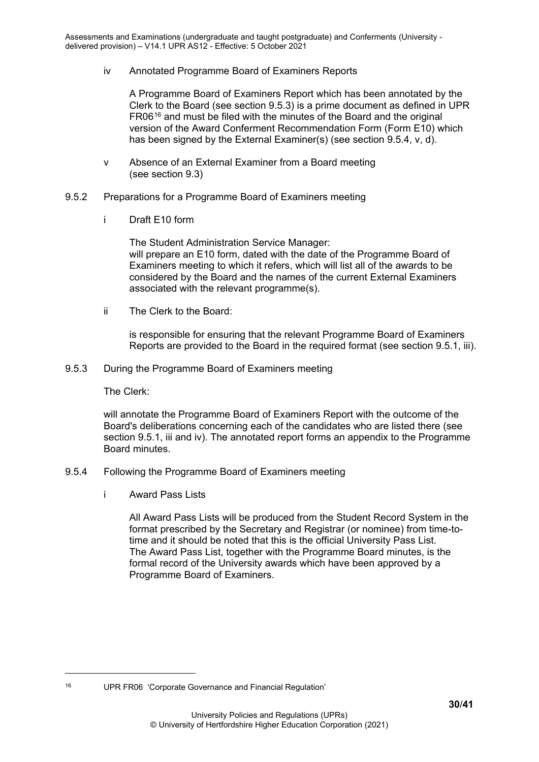iv Annotated Programme Board of Examiners Reports

A Programme Board of Examiners Report which has been annotated by the Clerk to the Board (see section 9.5.3) is a prime document as defined in UPR FR06[16](#page-29-3) and must be filed with the minutes of the Board and the original version of the Award Conferment Recommendation Form (Form E10) which has been signed by the External Examiner(s) (see section 9.5.4, v, d).

- v Absence of an External Examiner from a Board meeting (see section 9.3)
- <span id="page-29-0"></span>9.5.2 Preparations for a Programme Board of Examiners meeting
	- i Draft E10 form

The Student Administration Service Manager: will prepare an E10 form, dated with the date of the Programme Board of Examiners meeting to which it refers, which will list all of the awards to be considered by the Board and the names of the current External Examiners associated with the relevant programme(s).

ii The Clerk to the Board:

is responsible for ensuring that the relevant Programme Board of Examiners Reports are provided to the Board in the required format (see section 9.5.1, iii).

<span id="page-29-1"></span>9.5.3 During the Programme Board of Examiners meeting

The Clerk:

will annotate the Programme Board of Examiners Report with the outcome of the Board's deliberations concerning each of the candidates who are listed there (see section 9.5.1, iii and iv). The annotated report forms an appendix to the Programme Board minutes.

- <span id="page-29-2"></span>9.5.4 Following the Programme Board of Examiners meeting
	- i Award Pass Lists

All Award Pass Lists will be produced from the Student Record System in the format prescribed by the Secretary and Registrar (or nominee) from time-totime and it should be noted that this is the official University Pass List. The Award Pass List, together with the Programme Board minutes, is the formal record of the University awards which have been approved by a Programme Board of Examiners.

<span id="page-29-3"></span><sup>16</sup> UPR FR06 'Corporate Governance and Financial Regulation'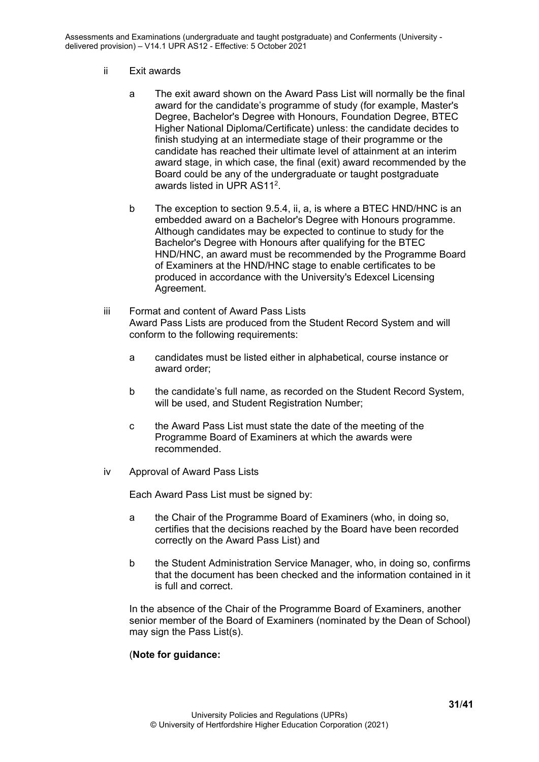- ii Exit awards
	- a The exit award shown on the Award Pass List will normally be the final award for the candidate's programme of study (for example, Master's Degree, Bachelor's Degree with Honours, Foundation Degree, BTEC Higher National Diploma/Certificate) unless: the candidate decides to finish studying at an intermediate stage of their programme or the candidate has reached their ultimate level of attainment at an interim award stage, in which case, the final (exit) award recommended by the Board could be any of the undergraduate or taught postgraduate awards listed in UPR AS112.
	- b The exception to section 9.5.4, ii, a, is where a BTEC HND/HNC is an embedded award on a Bachelor's Degree with Honours programme. Although candidates may be expected to continue to study for the Bachelor's Degree with Honours after qualifying for the BTEC HND/HNC, an award must be recommended by the Programme Board of Examiners at the HND/HNC stage to enable certificates to be produced in accordance with the University's Edexcel Licensing Agreement.
- iii Format and content of Award Pass Lists Award Pass Lists are produced from the Student Record System and will conform to the following requirements:
	- a candidates must be listed either in alphabetical, course instance or award order;
	- b the candidate's full name, as recorded on the Student Record System, will be used, and Student Registration Number;
	- c the Award Pass List must state the date of the meeting of the Programme Board of Examiners at which the awards were recommended.
- iv Approval of Award Pass Lists

Each Award Pass List must be signed by:

- a the Chair of the Programme Board of Examiners (who, in doing so, certifies that the decisions reached by the Board have been recorded correctly on the Award Pass List) and
- b the Student Administration Service Manager, who, in doing so, confirms that the document has been checked and the information contained in it is full and correct.

In the absence of the Chair of the Programme Board of Examiners, another senior member of the Board of Examiners (nominated by the Dean of School) may sign the Pass List(s).

#### (**Note for guidance:**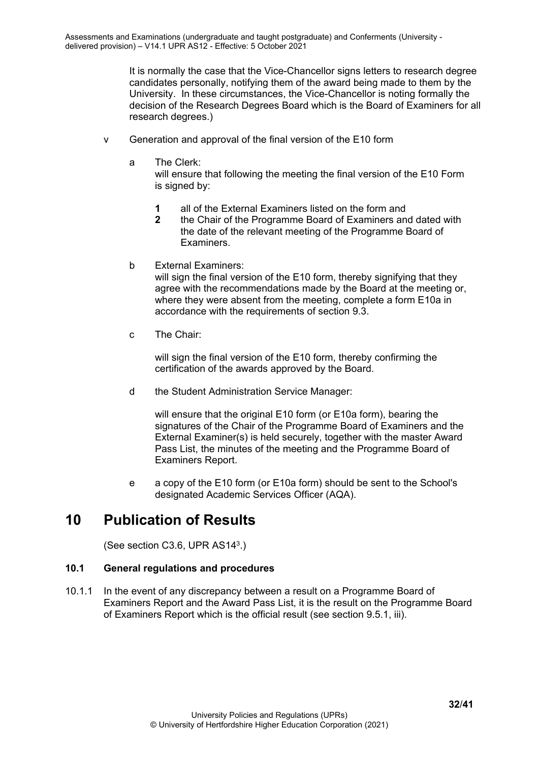It is normally the case that the Vice-Chancellor signs letters to research degree candidates personally, notifying them of the award being made to them by the University. In these circumstances, the Vice-Chancellor is noting formally the decision of the Research Degrees Board which is the Board of Examiners for all research degrees.)

- v Generation and approval of the final version of the E10 form
	- a The Clerk:

will ensure that following the meeting the final version of the E10 Form is signed by:

- **1** all of the External Examiners listed on the form and<br>**2** the Chair of the Programme Board of Examiners an
- **2** the Chair of the Programme Board of Examiners and dated with the date of the relevant meeting of the Programme Board of Examiners.
- b External Examiners:

will sign the final version of the E10 form, thereby signifying that they agree with the recommendations made by the Board at the meeting or, where they were absent from the meeting, complete a form E10a in accordance with the requirements of section 9.3.

c The Chair:

will sign the final version of the E10 form, thereby confirming the certification of the awards approved by the Board.

d the Student Administration Service Manager:

will ensure that the original E10 form (or E10a form), bearing the signatures of the Chair of the Programme Board of Examiners and the External Examiner(s) is held securely, together with the master Award Pass List, the minutes of the meeting and the Programme Board of Examiners Report.

e a copy of the E10 form (or E10a form) should be sent to the School's designated Academic Services Officer (AQA).

## <span id="page-31-0"></span>**10 Publication of Results**

(See section C3.6, UPR AS143.)

#### <span id="page-31-1"></span>**10.1 General regulations and procedures**

10.1.1 In the event of any discrepancy between a result on a Programme Board of Examiners Report and the Award Pass List, it is the result on the Programme Board of Examiners Report which is the official result (see section 9.5.1, iii).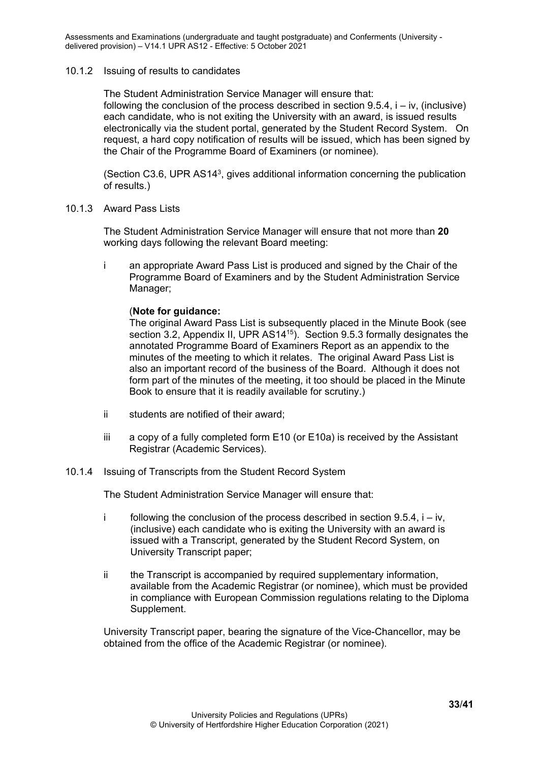#### <span id="page-32-0"></span>10.1.2 Issuing of results to candidates

The Student Administration Service Manager will ensure that: following the conclusion of the process described in section  $9.5.4$ ,  $i - iv$ , (inclusive) each candidate, who is not exiting the University with an award, is issued results electronically via the student portal, generated by the Student Record System. On request, a hard copy notification of results will be issued, which has been signed by the Chair of the Programme Board of Examiners (or nominee).

(Section C3.6, UPR AS143, gives additional information concerning the publication of results.)

<span id="page-32-1"></span>10.1.3 Award Pass Lists

The Student Administration Service Manager will ensure that not more than **20** working days following the relevant Board meeting:

i an appropriate Award Pass List is produced and signed by the Chair of the Programme Board of Examiners and by the Student Administration Service Manager;

#### (**Note for guidance:**

The original Award Pass List is subsequently placed in the Minute Book (see section 3.2, Appendix II, UPR AS14<sup>15</sup>). Section 9.5.3 formally designates the annotated Programme Board of Examiners Report as an appendix to the minutes of the meeting to which it relates. The original Award Pass List is also an important record of the business of the Board. Although it does not form part of the minutes of the meeting, it too should be placed in the Minute Book to ensure that it is readily available for scrutiny.)

- ii students are notified of their award;
- iii a copy of a fully completed form E10 (or E10a) is received by the Assistant Registrar (Academic Services).

#### <span id="page-32-2"></span>10.1.4 Issuing of Transcripts from the Student Record System

The Student Administration Service Manager will ensure that:

- i following the conclusion of the process described in section  $9.5.4$ ,  $i iv$ , (inclusive) each candidate who is exiting the University with an award is issued with a Transcript, generated by the Student Record System, on University Transcript paper;
- ii the Transcript is accompanied by required supplementary information, available from the Academic Registrar (or nominee), which must be provided in compliance with European Commission regulations relating to the Diploma Supplement.

University Transcript paper, bearing the signature of the Vice-Chancellor, may be obtained from the office of the Academic Registrar (or nominee).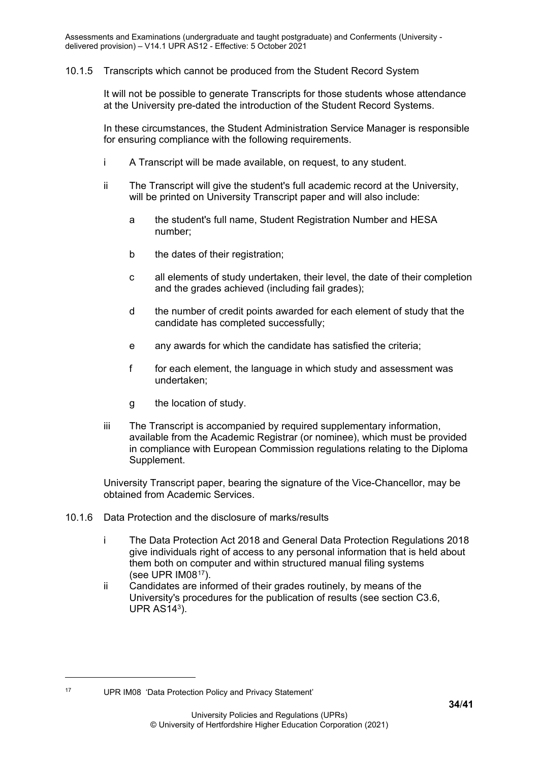#### <span id="page-33-0"></span>10.1.5 Transcripts which cannot be produced from the Student Record System

It will not be possible to generate Transcripts for those students whose attendance at the University pre-dated the introduction of the Student Record Systems.

In these circumstances, the Student Administration Service Manager is responsible for ensuring compliance with the following requirements.

- i A Transcript will be made available, on request, to any student.
- ii The Transcript will give the student's full academic record at the University, will be printed on University Transcript paper and will also include:
	- a the student's full name, Student Registration Number and HESA number;
	- b the dates of their registration;
	- c all elements of study undertaken, their level, the date of their completion and the grades achieved (including fail grades);
	- d the number of credit points awarded for each element of study that the candidate has completed successfully;
	- e any awards for which the candidate has satisfied the criteria;
	- f for each element, the language in which study and assessment was undertaken;
	- g the location of study.
- iii The Transcript is accompanied by required supplementary information, available from the Academic Registrar (or nominee), which must be provided in compliance with European Commission regulations relating to the Diploma Supplement.

University Transcript paper, bearing the signature of the Vice-Chancellor, may be obtained from Academic Services.

- <span id="page-33-1"></span>10.1.6 Data Protection and the disclosure of marks/results
	- i The Data Protection Act 2018 and General Data Protection Regulations 2018 give individuals right of access to any personal information that is held about them both on computer and within structured manual filing systems (see UPR IM08[17](#page-33-2)).
	- ii Candidates are informed of their grades routinely, by means of the University's procedures for the publication of results (see section C3.6, UPR  $AS14<sup>3</sup>$ ).

<span id="page-33-2"></span>

<sup>17</sup> UPR IM08 'Data Protection Policy and Privacy Statement'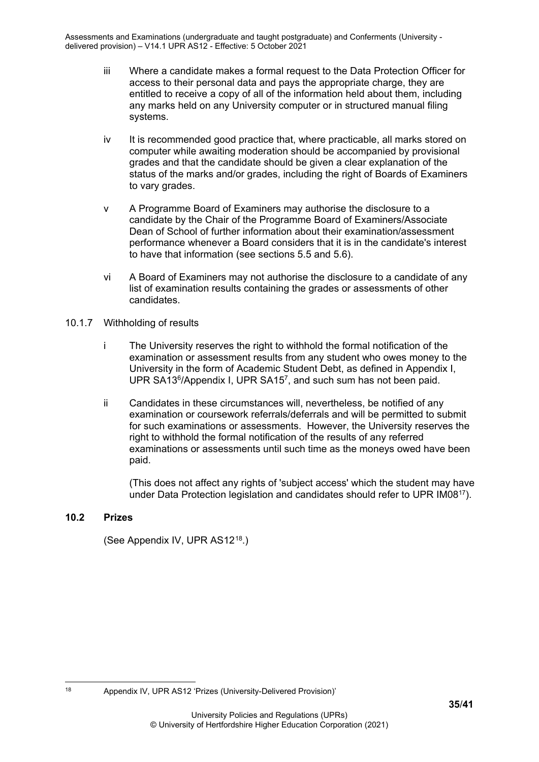- iii Where a candidate makes a formal request to the Data Protection Officer for access to their personal data and pays the appropriate charge, they are entitled to receive a copy of all of the information held about them, including any marks held on any University computer or in structured manual filing systems.
- iv It is recommended good practice that, where practicable, all marks stored on computer while awaiting moderation should be accompanied by provisional grades and that the candidate should be given a clear explanation of the status of the marks and/or grades, including the right of Boards of Examiners to vary grades.
- v A Programme Board of Examiners may authorise the disclosure to a candidate by the Chair of the Programme Board of Examiners/Associate Dean of School of further information about their examination/assessment performance whenever a Board considers that it is in the candidate's interest to have that information (see sections 5.5 and 5.6).
- vi A Board of Examiners may not authorise the disclosure to a candidate of any list of examination results containing the grades or assessments of other candidates.
- <span id="page-34-0"></span>10.1.7 Withholding of results
	- i The University reserves the right to withhold the formal notification of the examination or assessment results from any student who owes money to the University in the form of Academic Student Debt, as defined in Appendix I, UPR SA13<sup>6</sup>/Appendix I, UPR SA15<sup>7</sup>, and such sum has not been paid.
	- ii Candidates in these circumstances will, nevertheless, be notified of any examination or coursework referrals/deferrals and will be permitted to submit for such examinations or assessments. However, the University reserves the right to withhold the formal notification of the results of any referred examinations or assessments until such time as the moneys owed have been paid.

(This does not affect any rights of 'subject access' which the student may have under Data Protection legislation and candidates should refer to UPR IM0817).

#### <span id="page-34-1"></span>**10.2 Prizes**

(See Appendix IV, UPR AS12[18.](#page-34-2))

<span id="page-34-2"></span><sup>18</sup> Appendix IV, UPR AS12 'Prizes (University-Delivered Provision)'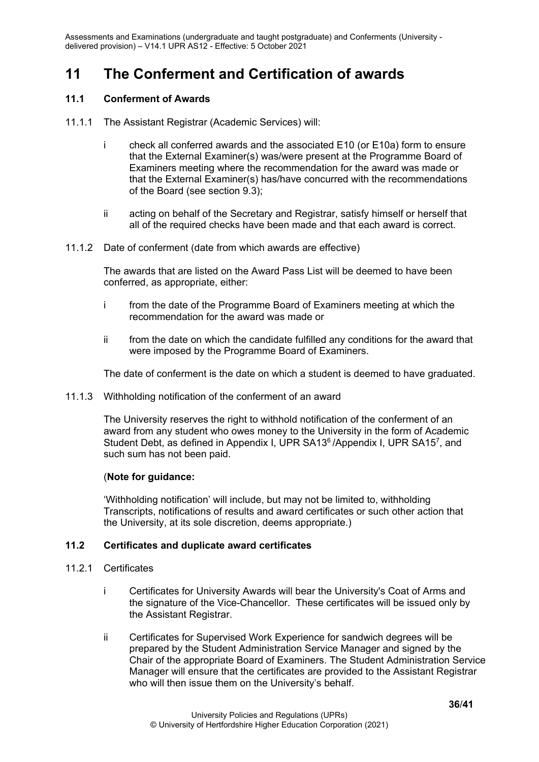# <span id="page-35-0"></span>**11 The Conferment and Certification of awards**

#### <span id="page-35-1"></span>**11.1 Conferment of Awards**

- 11.1.1 The Assistant Registrar (Academic Services) will:
	- i check all conferred awards and the associated E10 (or E10a) form to ensure that the External Examiner(s) was/were present at the Programme Board of Examiners meeting where the recommendation for the award was made or that the External Examiner(s) has/have concurred with the recommendations of the Board (see section 9.3);
	- ii acting on behalf of the Secretary and Registrar, satisfy himself or herself that all of the required checks have been made and that each award is correct.
- <span id="page-35-2"></span>11.1.2 Date of conferment (date from which awards are effective)

The awards that are listed on the Award Pass List will be deemed to have been conferred, as appropriate, either:

- i from the date of the Programme Board of Examiners meeting at which the recommendation for the award was made or
- ii from the date on which the candidate fulfilled any conditions for the award that were imposed by the Programme Board of Examiners.

The date of conferment is the date on which a student is deemed to have graduated.

<span id="page-35-3"></span>11.1.3 Withholding notification of the conferment of an award

The University reserves the right to withhold notification of the conferment of an award from any student who owes money to the University in the form of Academic Student Debt, as defined in Appendix I, UPR SA13<sup>6</sup>/Appendix I, UPR SA15<sup>7</sup>, and such sum has not been paid.

#### (**Note for guidance:**

'Withholding notification' will include, but may not be limited to, withholding Transcripts, notifications of results and award certificates or such other action that the University, at its sole discretion, deems appropriate.)

#### <span id="page-35-4"></span>**11.2 Certificates and duplicate award certificates**

- <span id="page-35-5"></span>11.2.1 Certificates
	- i Certificates for University Awards will bear the University's Coat of Arms and the signature of the Vice-Chancellor. These certificates will be issued only by the Assistant Registrar.
	- ii Certificates for Supervised Work Experience for sandwich degrees will be prepared by the Student Administration Service Manager and signed by the Chair of the appropriate Board of Examiners. The Student Administration Service Manager will ensure that the certificates are provided to the Assistant Registrar who will then issue them on the University's behalf.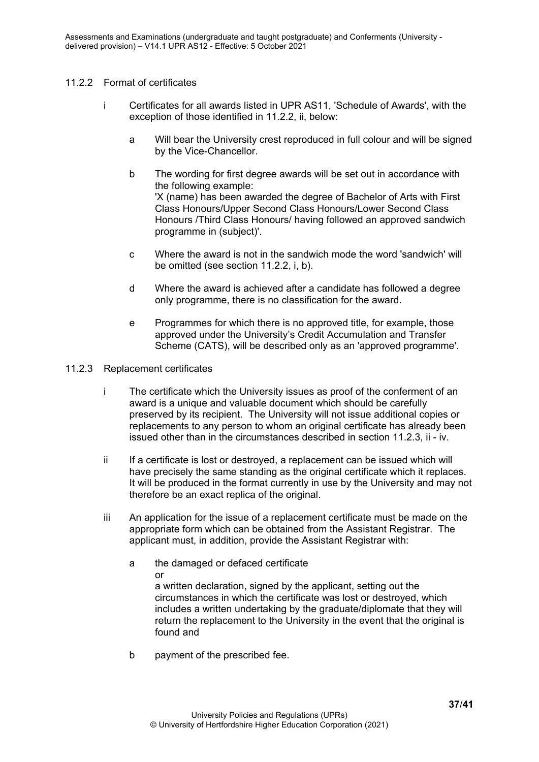#### <span id="page-36-0"></span>11.2.2 Format of certificates

- i Certificates for all awards listed in UPR AS11, 'Schedule of Awards', with the exception of those identified in 11.2.2, ii, below:
	- a Will bear the University crest reproduced in full colour and will be signed by the Vice-Chancellor.
	- b The wording for first degree awards will be set out in accordance with the following example: 'X (name) has been awarded the degree of Bachelor of Arts with First Class Honours/Upper Second Class Honours/Lower Second Class Honours /Third Class Honours/ having followed an approved sandwich programme in (subject)'.
	- c Where the award is not in the sandwich mode the word 'sandwich' will be omitted (see section 11.2.2, i, b).
	- d Where the award is achieved after a candidate has followed a degree only programme, there is no classification for the award.
	- e Programmes for which there is no approved title, for example, those approved under the University's Credit Accumulation and Transfer Scheme (CATS), will be described only as an 'approved programme'.
- <span id="page-36-1"></span>11.2.3 Replacement certificates
	- i The certificate which the University issues as proof of the conferment of an award is a unique and valuable document which should be carefully preserved by its recipient. The University will not issue additional copies or replacements to any person to whom an original certificate has already been issued other than in the circumstances described in section 11.2.3, ii - iv.
	- ii If a certificate is lost or destroyed, a replacement can be issued which will have precisely the same standing as the original certificate which it replaces. It will be produced in the format currently in use by the University and may not therefore be an exact replica of the original.
	- iii An application for the issue of a replacement certificate must be made on the appropriate form which can be obtained from the Assistant Registrar. The applicant must, in addition, provide the Assistant Registrar with:
		- a the damaged or defaced certificate or a written declaration, signed by the applicant, setting out the circumstances in which the certificate was lost or destroyed, which includes a written undertaking by the graduate/diplomate that they will return the replacement to the University in the event that the original is found and
		- b payment of the prescribed fee.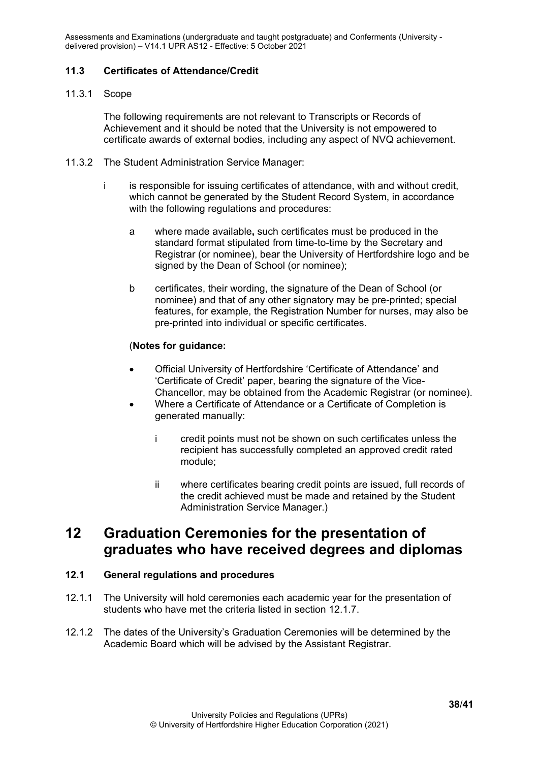#### <span id="page-37-0"></span>**11.3 Certificates of Attendance/Credit**

#### <span id="page-37-1"></span>11.3.1 Scope

The following requirements are not relevant to Transcripts or Records of Achievement and it should be noted that the University is not empowered to certificate awards of external bodies, including any aspect of NVQ achievement.

- 11.3.2 The Student Administration Service Manager:
	- i is responsible for issuing certificates of attendance, with and without credit, which cannot be generated by the Student Record System, in accordance with the following regulations and procedures:
		- a where made available**,** such certificates must be produced in the standard format stipulated from time-to-time by the Secretary and Registrar (or nominee), bear the University of Hertfordshire logo and be signed by the Dean of School (or nominee);
		- b certificates, their wording, the signature of the Dean of School (or nominee) and that of any other signatory may be pre-printed; special features, for example, the Registration Number for nurses, may also be pre-printed into individual or specific certificates.

#### (**Notes for guidance:**

- Official University of Hertfordshire 'Certificate of Attendance' and 'Certificate of Credit' paper, bearing the signature of the Vice-Chancellor, may be obtained from the Academic Registrar (or nominee).
- Where a Certificate of Attendance or a Certificate of Completion is generated manually:
	- i credit points must not be shown on such certificates unless the recipient has successfully completed an approved credit rated module;
	- ii where certificates bearing credit points are issued, full records of the credit achieved must be made and retained by the Student Administration Service Manager.)

### <span id="page-37-2"></span>**12 Graduation Ceremonies for the presentation of graduates who have received degrees and diplomas**

#### <span id="page-37-3"></span>**12.1 General regulations and procedures**

- 12.1.1 The University will hold ceremonies each academic year for the presentation of students who have met the criteria listed in section 12.1.7.
- 12.1.2 The dates of the University's Graduation Ceremonies will be determined by the Academic Board which will be advised by the Assistant Registrar.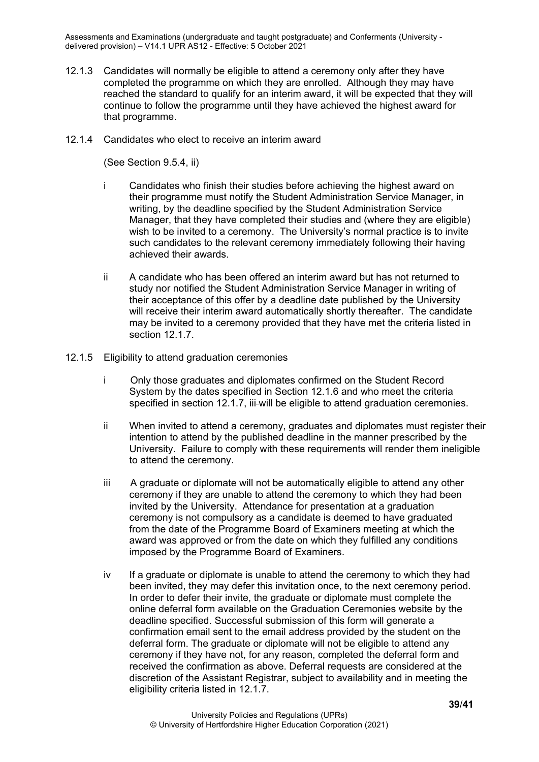- 12.1.3 Candidates will normally be eligible to attend a ceremony only after they have completed the programme on which they are enrolled. Although they may have reached the standard to qualify for an interim award, it will be expected that they will continue to follow the programme until they have achieved the highest award for that programme.
- <span id="page-38-0"></span>12.1.4 Candidates who elect to receive an interim award

(See Section 9.5.4, ii)

- i Candidates who finish their studies before achieving the highest award on their programme must notify the Student Administration Service Manager, in writing, by the deadline specified by the Student Administration Service Manager, that they have completed their studies and (where they are eligible) wish to be invited to a ceremony. The University's normal practice is to invite such candidates to the relevant ceremony immediately following their having achieved their awards.
- ii A candidate who has been offered an interim award but has not returned to study nor notified the Student Administration Service Manager in writing of their acceptance of this offer by a deadline date published by the University will receive their interim award automatically shortly thereafter. The candidate may be invited to a ceremony provided that they have met the criteria listed in section 12.1.7.
- <span id="page-38-1"></span>12.1.5 Eligibility to attend graduation ceremonies
	- i Only those graduates and diplomates confirmed on the Student Record System by the dates specified in Section 12.1.6 and who meet the criteria specified in section 12.1.7, iii-will be eligible to attend graduation ceremonies.
	- ii When invited to attend a ceremony, graduates and diplomates must register their intention to attend by the published deadline in the manner prescribed by the University. Failure to comply with these requirements will render them ineligible to attend the ceremony.
	- iii A graduate or diplomate will not be automatically eligible to attend any other ceremony if they are unable to attend the ceremony to which they had been invited by the University. Attendance for presentation at a graduation ceremony is not compulsory as a candidate is deemed to have graduated from the date of the Programme Board of Examiners meeting at which the award was approved or from the date on which they fulfilled any conditions imposed by the Programme Board of Examiners.
	- iv If a graduate or diplomate is unable to attend the ceremony to which they had been invited, they may defer this invitation once, to the next ceremony period. In order to defer their invite, the graduate or diplomate must complete the online deferral form available on the Graduation Ceremonies website by the deadline specified. Successful submission of this form will generate a confirmation email sent to the email address provided by the student on the deferral form. The graduate or diplomate will not be eligible to attend any ceremony if they have not, for any reason, completed the deferral form and received the confirmation as above. Deferral requests are considered at the discretion of the Assistant Registrar, subject to availability and in meeting the eligibility criteria listed in 12.1.7.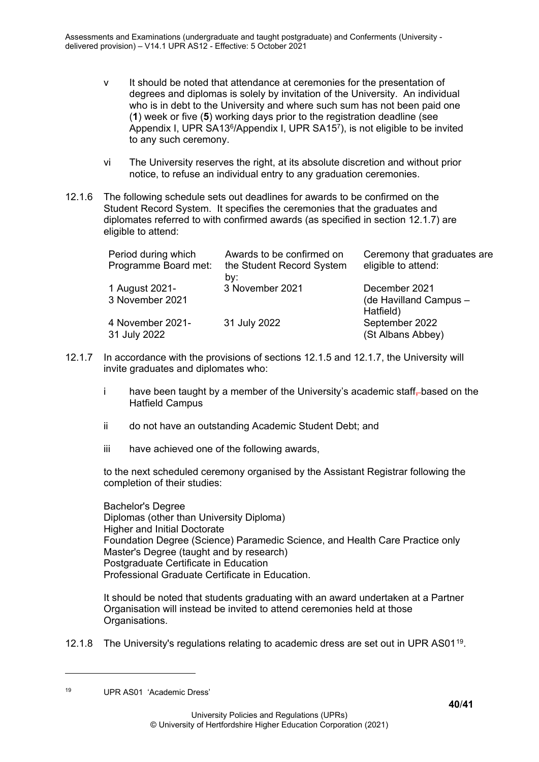- v It should be noted that attendance at ceremonies for the presentation of degrees and diplomas is solely by invitation of the University. An individual who is in debt to the University and where such sum has not been paid one (**1**) week or five (**5**) working days prior to the registration deadline (see Appendix I, UPR SA136/Appendix I, UPR SA157), is not eligible to be invited to any such ceremony.
- vi The University reserves the right, at its absolute discretion and without prior notice, to refuse an individual entry to any graduation ceremonies.
- 12.1.6 The following schedule sets out deadlines for awards to be confirmed on the Student Record System. It specifies the ceremonies that the graduates and diplomates referred to with confirmed awards (as specified in section 12.1.7) are eligible to attend:

| Period during which<br>Programme Board met: | Awards to be confirmed on<br>the Student Record System<br>by: | Ceremony that graduates are<br>eligible to attend:   |
|---------------------------------------------|---------------------------------------------------------------|------------------------------------------------------|
| 1 August 2021-<br>3 November 2021           | 3 November 2021                                               | December 2021<br>(de Havilland Campus -<br>Hatfield) |
| 4 November 2021-<br>31 July 2022            | 31 July 2022                                                  | September 2022<br>(St Albans Abbey)                  |

- 12.1.7 In accordance with the provisions of sections 12.1.5 and 12.1.7, the University will invite graduates and diplomates who:
	- i have been taught by a member of the University's academic staff-based on the Hatfield Campus
	- ii do not have an outstanding Academic Student Debt; and
	- iii have achieved one of the following awards,

to the next scheduled ceremony organised by the Assistant Registrar following the completion of their studies:

Bachelor's Degree Diplomas (other than University Diploma) Higher and Initial Doctorate Foundation Degree (Science) Paramedic Science, and Health Care Practice only Master's Degree (taught and by research) Postgraduate Certificate in Education Professional Graduate Certificate in Education.

It should be noted that students graduating with an award undertaken at a Partner Organisation will instead be invited to attend ceremonies held at those Organisations.

12.1.8 The University's regulations relating to academic dress are set out in UPR AS01<sup>19</sup>.

<span id="page-39-0"></span><sup>19</sup> UPR AS01 'Academic Dress'